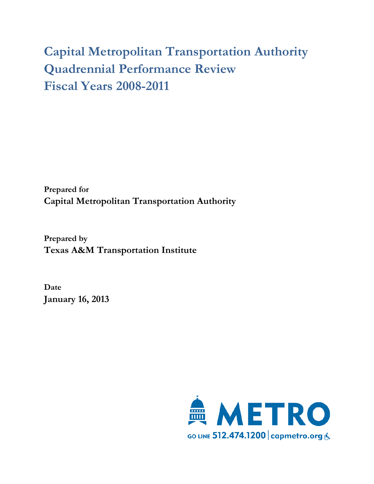# **Capital Metropolitan Transportation Authority Quadrennial Performance Review Fiscal Years 2008-2011**

**Prepared for Capital Metropolitan Transportation Authority**

**Prepared by Texas A&M Transportation Institute**

**Date January 16, 2013**

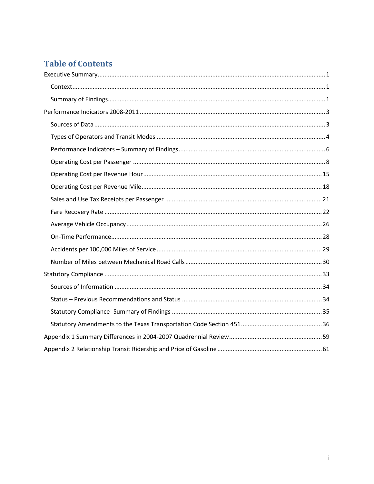# **Table of Contents**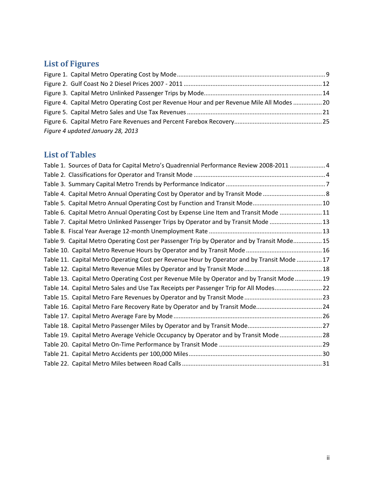# **List of Figures**

| Figure 4. Capital Metro Operating Cost per Revenue Hour and per Revenue Mile All Modes  20 |  |
|--------------------------------------------------------------------------------------------|--|
|                                                                                            |  |
|                                                                                            |  |
| Figure 4 updated January 28, 2013                                                          |  |

# **List of Tables**

| Table 1. Sources of Data for Capital Metro's Quadrennial Performance Review 2008-2011  4    |  |
|---------------------------------------------------------------------------------------------|--|
|                                                                                             |  |
|                                                                                             |  |
|                                                                                             |  |
|                                                                                             |  |
| Table 6. Capital Metro Annual Operating Cost by Expense Line Item and Transit Mode  11      |  |
| Table 7. Capital Metro Unlinked Passenger Trips by Operator and by Transit Mode  13         |  |
|                                                                                             |  |
| Table 9. Capital Metro Operating Cost per Passenger Trip by Operator and by Transit Mode 15 |  |
|                                                                                             |  |
| Table 11. Capital Metro Operating Cost per Revenue Hour by Operator and by Transit Mode 17  |  |
|                                                                                             |  |
| Table 13. Capital Metro Operating Cost per Revenue Mile by Operator and by Transit Mode  19 |  |
| Table 14. Capital Metro Sales and Use Tax Receipts per Passenger Trip for All Modes22       |  |
|                                                                                             |  |
| Table 16. Capital Metro Fare Recovery Rate by Operator and by Transit Mode24                |  |
|                                                                                             |  |
|                                                                                             |  |
| Table 19. Capital Metro Average Vehicle Occupancy by Operator and by Transit Mode  28       |  |
|                                                                                             |  |
|                                                                                             |  |
|                                                                                             |  |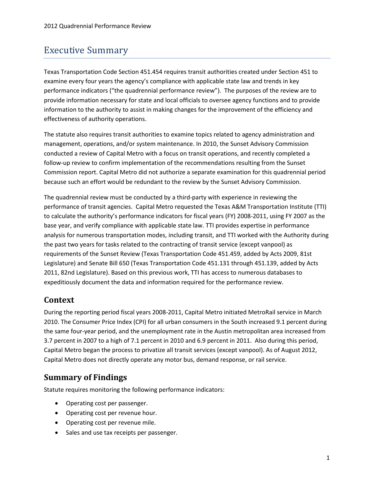# <span id="page-4-0"></span>Executive Summary

Texas Transportation Code Section 451.454 requires transit authorities created under Section 451 to examine every four years the agency's compliance with applicable state law and trends in key performance indicators ("the quadrennial performance review"). The purposes of the review are to provide information necessary for state and local officials to oversee agency functions and to provide information to the authority to assist in making changes for the improvement of the efficiency and effectiveness of authority operations.

The statute also requires transit authorities to examine topics related to agency administration and management, operations, and/or system maintenance. In 2010, the Sunset Advisory Commission conducted a review of Capital Metro with a focus on transit operations, and recently completed a follow-up review to confirm implementation of the recommendations resulting from the Sunset Commission report. Capital Metro did not authorize a separate examination for this quadrennial period because such an effort would be redundant to the review by the Sunset Advisory Commission.

The quadrennial review must be conducted by a third-party with experience in reviewing the performance of transit agencies. Capital Metro requested the Texas A&M Transportation Institute (TTI) to calculate the authority's performance indicators for fiscal years (FY) 2008-2011, using FY 2007 as the base year, and verify compliance with applicable state law. TTI provides expertise in performance analysis for numerous transportation modes, including transit, and TTI worked with the Authority during the past two years for tasks related to the contracting of transit service (except vanpool) as requirements of the Sunset Review (Texas Transportation Code 451.459, added by Acts 2009, 81st Legislature) and Senate Bill 650 (Texas Transportation Code 451.131 through 451.139, added by Acts 2011, 82nd Legislature). Based on this previous work, TTI has access to numerous databases to expeditiously document the data and information required for the performance review.

### <span id="page-4-1"></span>**Context**

During the reporting period fiscal years 2008-2011, Capital Metro initiated MetroRail service in March 2010. The Consumer Price Index (CPI) for all urban consumers in the South increased 9.1 percent during the same four-year period, and the unemployment rate in the Austin metropolitan area increased from 3.7 percent in 2007 to a high of 7.1 percent in 2010 and 6.9 percent in 2011. Also during this period, Capital Metro began the process to privatize all transit services (except vanpool). As of August 2012, Capital Metro does not directly operate any motor bus, demand response, or rail service.

### <span id="page-4-2"></span>**Summary of Findings**

Statute requires monitoring the following performance indicators:

- Operating cost per passenger.
- Operating cost per revenue hour.
- Operating cost per revenue mile.
- Sales and use tax receipts per passenger.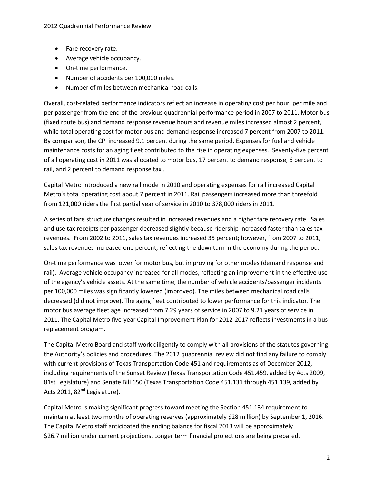- Fare recovery rate.
- Average vehicle occupancy.
- On-time performance.
- Number of accidents per 100,000 miles.
- Number of miles between mechanical road calls.

Overall, cost-related performance indicators reflect an increase in operating cost per hour, per mile and per passenger from the end of the previous quadrennial performance period in 2007 to 2011. Motor bus (fixed route bus) and demand response revenue hours and revenue miles increased almost 2 percent, while total operating cost for motor bus and demand response increased 7 percent from 2007 to 2011. By comparison, the CPI increased 9.1 percent during the same period. Expenses for fuel and vehicle maintenance costs for an aging fleet contributed to the rise in operating expenses. Seventy-five percent of all operating cost in 2011 was allocated to motor bus, 17 percent to demand response, 6 percent to rail, and 2 percent to demand response taxi.

Capital Metro introduced a new rail mode in 2010 and operating expenses for rail increased Capital Metro's total operating cost about 7 percent in 2011. Rail passengers increased more than threefold from 121,000 riders the first partial year of service in 2010 to 378,000 riders in 2011.

A series of fare structure changes resulted in increased revenues and a higher fare recovery rate. Sales and use tax receipts per passenger decreased slightly because ridership increased faster than sales tax revenues. From 2002 to 2011, sales tax revenues increased 35 percent; however, from 2007 to 2011, sales tax revenues increased one percent, reflecting the downturn in the economy during the period.

On-time performance was lower for motor bus, but improving for other modes (demand response and rail). Average vehicle occupancy increased for all modes, reflecting an improvement in the effective use of the agency's vehicle assets. At the same time, the number of vehicle accidents/passenger incidents per 100,000 miles was significantly lowered (improved). The miles between mechanical road calls decreased (did not improve). The aging fleet contributed to lower performance for this indicator. The motor bus average fleet age increased from 7.29 years of service in 2007 to 9.21 years of service in 2011. The Capital Metro five-year Capital Improvement Plan for 2012-2017 reflects investments in a bus replacement program.

The Capital Metro Board and staff work diligently to comply with all provisions of the statutes governing the Authority's policies and procedures. The 2012 quadrennial review did not find any failure to comply with current provisions of Texas Transportation Code 451 and requirements as of December 2012, including requirements of the Sunset Review (Texas Transportation Code 451.459, added by Acts 2009, 81st Legislature) and Senate Bill 650 (Texas Transportation Code 451.131 through 451.139, added by Acts 2011, 82<sup>nd</sup> Legislature).

Capital Metro is making significant progress toward meeting the Section 451.134 requirement to maintain at least two months of operating reserves (approximately \$28 million) by September 1, 2016. The Capital Metro staff anticipated the ending balance for fiscal 2013 will be approximately \$26.7 million under current projections. Longer term financial projections are being prepared.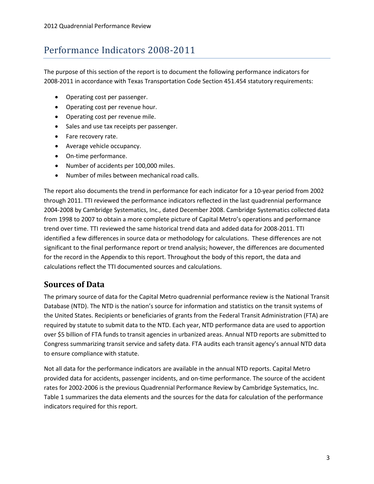# <span id="page-6-0"></span>Performance Indicators 2008-2011

The purpose of this section of the report is to document the following performance indicators for 2008-2011 in accordance with Texas Transportation Code Section 451.454 statutory requirements:

- Operating cost per passenger.
- Operating cost per revenue hour.
- Operating cost per revenue mile.
- Sales and use tax receipts per passenger.
- Fare recovery rate.
- Average vehicle occupancy.
- On-time performance.
- Number of accidents per 100,000 miles.
- Number of miles between mechanical road calls.

The report also documents the trend in performance for each indicator for a 10-year period from 2002 through 2011. TTI reviewed the performance indicators reflected in the last quadrennial performance 2004-2008 by Cambridge Systematics, Inc., dated December 2008. Cambridge Systematics collected data from 1998 to 2007 to obtain a more complete picture of Capital Metro's operations and performance trend over time. TTI reviewed the same historical trend data and added data for 2008-2011. TTI identified a few differences in source data or methodology for calculations. These differences are not significant to the final performance report or trend analysis; however, the differences are documented for the record in the Appendix to this report. Throughout the body of this report, the data and calculations reflect the TTI documented sources and calculations.

### <span id="page-6-1"></span>**Sources of Data**

The primary source of data for the Capital Metro quadrennial performance review is the National Transit Database (NTD). The NTD is the nation's source for information and statistics on the transit systems of the United States. Recipients or beneficiaries of grants from the Federal Transit Administration (FTA) are required by statute to submit data to the NTD. Each year, NTD performance data are used to apportion over \$5 billion of FTA funds to transit agencies in urbanized areas. Annual NTD reports are submitted to Congress summarizing transit service and safety data. FTA audits each transit agency's annual NTD data to ensure compliance with statute.

Not all data for the performance indicators are available in the annual NTD reports. Capital Metro provided data for accidents, passenger incidents, and on-time performance. The source of the accident rates for 2002-2006 is the previous Quadrennial Performance Review by Cambridge Systematics, Inc. [Table 1](#page-7-1) summarizes the data elements and the sources for the data for calculation of the performance indicators required for this report.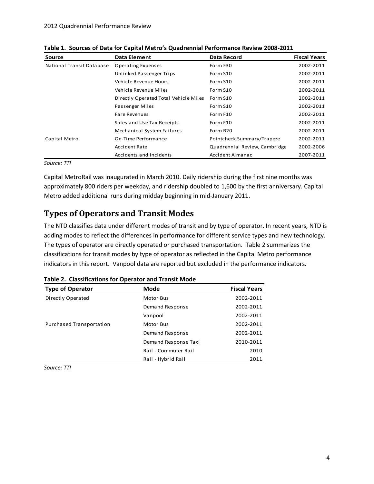| Source                    | <b>Data Element</b>                   | <b>Data Record</b>            | <b>Fiscal Years</b> |
|---------------------------|---------------------------------------|-------------------------------|---------------------|
| National Transit Database | Operating Expenses                    | Form F30                      | 2002-2011           |
|                           | Unlinked Passenger Trips              | Form S10                      | 2002-2011           |
|                           | Vehicle Revenue Hours                 | Form S10                      | 2002-2011           |
|                           | Vehicle Revenue Miles                 | Form S10                      | 2002-2011           |
|                           | Directly Operated Total Vehicle Miles | Form S10                      | 2002-2011           |
|                           | Passenger Miles                       | Form S10                      | 2002-2011           |
|                           | <b>Fare Revenues</b>                  | Form F10                      | 2002-2011           |
|                           | Sales and Use Tax Receipts            | Form F10                      | 2002-2011           |
|                           | Mechanical System Failures            | Form R20                      | 2002-2011           |
| Capital Metro             | On-Time Performance                   | Pointcheck Summary/Trapeze    | 2002-2011           |
|                           | <b>Accident Rate</b>                  | Quadrennial Review, Cambridge | 2002-2006           |
|                           | Accidents and Incidents               | Accident Almanac              | 2007-2011           |

<span id="page-7-1"></span>**Table 1. Sources of Data for Capital Metro's Quadrennial Performance Review 2008-2011**

*Source: TTI*

Capital MetroRail was inaugurated in March 2010. Daily ridership during the first nine months was approximately 800 riders per weekday, and ridership doubled to 1,600 by the first anniversary. Capital Metro added additional runs during midday beginning in mid-January 2011.

### <span id="page-7-0"></span>**Types of Operators and Transit Modes**

The NTD classifies data under different modes of transit and by type of operator. In recent years, NTD is adding modes to reflect the differences in performance for different service types and new technology. The types of operator are directly operated or purchased transportation. [Table 2](#page-7-2) summarizes the classifications for transit modes by type of operator as reflected in the Capital Metro performance indicators in this report. Vanpool data are reported but excluded in the performance indicators.

| <b>Type of Operator</b>  | Mode                 | <b>Fiscal Years</b> |  |  |  |  |
|--------------------------|----------------------|---------------------|--|--|--|--|
| Directly Operated        | Motor Bus            | 2002-2011           |  |  |  |  |
|                          | Demand Response      | 2002-2011           |  |  |  |  |
|                          | Vanpool              | 2002-2011           |  |  |  |  |
| Purchased Transportation | <b>Motor Bus</b>     | 2002-2011           |  |  |  |  |
|                          | Demand Response      | 2002-2011           |  |  |  |  |
|                          | Demand Response Taxi | 2010-2011           |  |  |  |  |
|                          | Rail - Commuter Rail | 2010                |  |  |  |  |
|                          | Rail - Hybrid Rail   | 2011                |  |  |  |  |

<span id="page-7-2"></span>**Table 2. Classifications for Operator and Transit Mode**

*Source: TTI*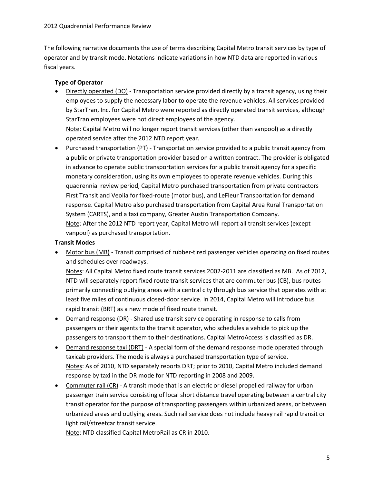The following narrative documents the use of terms describing Capital Metro transit services by type of operator and by transit mode. Notations indicate variations in how NTD data are reported in various fiscal years.

#### **Type of Operator**

• Directly operated (DO) - Transportation service provided directly by a transit agency, using their employees to supply the necessary labor to operate the revenue vehicles. All services provided by StarTran, Inc. for Capital Metro were reported as directly operated transit services, although StarTran employees were not direct employees of the agency. Note: Capital Metro will no longer report transit services (other than vanpool) as a directly

operated service after the 2012 NTD report year.

• Purchased transportation (PT) - Transportation service provided to a public transit agency from a public or private transportation provider based on a written contract. The provider is obligated in advance to operate public transportation services for a public transit agency for a specific monetary consideration, using its own employees to operate revenue vehicles. During this quadrennial review period, Capital Metro purchased transportation from private contractors First Transit and Veolia for fixed-route (motor bus), and LeFleur Transportation for demand response. Capital Metro also purchased transportation from Capital Area Rural Transportation System (CARTS), and a taxi company, Greater Austin Transportation Company. Note: After the 2012 NTD report year, Capital Metro will report all transit services (except vanpool) as purchased transportation.

#### **Transit Modes**

• Motor bus (MB) - Transit comprised of rubber-tired passenger vehicles operating on fixed routes and schedules over roadways.

Notes: All Capital Metro fixed route transit services 2002-2011 are classified as MB. As of 2012, NTD will separately report fixed route transit services that are commuter bus (CB), bus routes primarily connecting outlying areas with a central city through bus service that operates with at least five miles of continuous closed-door service. In 2014, Capital Metro will introduce bus rapid transit (BRT) as a new mode of fixed route transit.

- Demand response (DR) Shared use transit service operating in response to calls from passengers or their agents to the transit operator, who schedules a vehicle to pick up the passengers to transport them to their destinations. Capital MetroAccess is classified as DR.
- Demand response taxi (DRT) A special form of the demand response mode operated through taxicab providers. The mode is always a purchased transportation type of service. Notes: As of 2010, NTD separately reports DRT; prior to 2010, Capital Metro included demand response by taxi in the DR mode for NTD reporting in 2008 and 2009.
- Commuter rail (CR) A transit mode that is an electric or diesel propelled railway for urban passenger train service consisting of local short distance travel operating between a central city transit operator for the purpose of transporting passengers within urbanized areas, or between urbanized areas and outlying areas. Such rail service does not include heavy rail rapid transit or light rail/streetcar transit service.

Note: NTD classified Capital MetroRail as CR in 2010.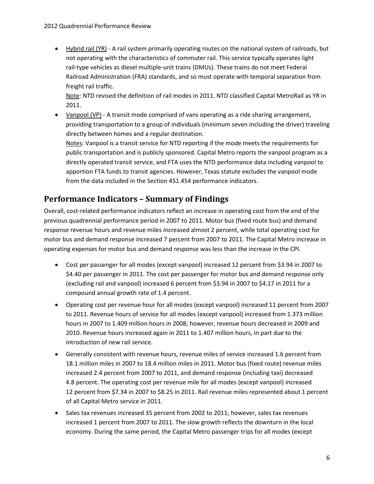• Hybrid rail (YR) - A rail system primarily operating routes on the national system of railroads, but not operating with the characteristics of commuter rail. This service typically operates light rail-type vehicles as diesel multiple-unit trains (DMUs). These trains do not meet Federal Railroad Administration (FRA) standards, and so must operate with temporal separation from freight rail traffic.

Note: NTD revised the definition of rail modes in 2011. NTD classified Capital MetroRail as YR in 2011.

• Vanpool (VP) - A transit mode comprised of vans operating as a ride sharing arrangement, providing transportation to a group of individuals (minimum seven including the driver) traveling directly between homes and a regular destination.

Notes: Vanpool is a transit service for NTD reporting if the mode meets the requirements for public transportation and is publicly sponsored. Capital Metro reports the vanpool program as a directly operated transit service, and FTA uses the NTD performance data including vanpool to apportion FTA funds to transit agencies. However, Texas statute excludes the vanpool mode from the data included in the Section 451.454 performance indicators.

### <span id="page-9-0"></span>**Performance Indicators – Summary of Findings**

Overall, cost-related performance indicators reflect an increase in operating cost from the end of the previous quadrennial performance period in 2007 to 2011. Motor bus (fixed route bus) and demand response revenue hours and revenue miles increased almost 2 percent, while total operating cost for motor bus and demand response increased 7 percent from 2007 to 2011. The Capital Metro increase in operating expenses for motor bus and demand response was less than the increase in the CPI.

- Cost per passenger for all modes (except vanpool) increased 12 percent from \$3.94 in 2007 to \$4.40 per passenger in 2011. The cost per passenger for motor bus and demand response only (excluding rail and vanpool) increased 6 percent from \$3.94 in 2007 to \$4.17 in 2011 for a compound annual growth rate of 1.4 percent.
- Operating cost per revenue hour for all modes (except vanpool) increased 11 percent from 2007 to 2011. Revenue hours of service for all modes (except vanpool) increased from 1.373 million hours in 2007 to 1.409 million hours in 2008; however, revenue hours decreased in 2009 and 2010. Revenue hours increased again in 2011 to 1.407 million hours, in part due to the introduction of new rail service.
- Generally consistent with revenue hours, revenue miles of service increased 1.6 percent from 18.1 million miles in 2007 to 18.4 million miles in 2011. Motor bus (fixed route) revenue miles increased 2.4 percent from 2007 to 2011, and demand response (including taxi) decreased 4.8 percent. The operating cost per revenue mile for all modes (except vanpool) increased 12 percent from \$7.34 in 2007 to \$8.25 in 2011. Rail revenue miles represented about 1 percent of all Capital Metro service in 2011.
- Sales tax revenues increased 35 percent from 2002 to 2011; however, sales tax revenues increased 1 percent from 2007 to 2011. The slow growth reflects the downturn in the local economy. During the same period, the Capital Metro passenger trips for all modes (except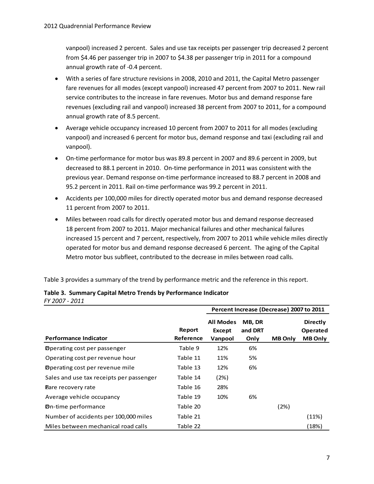vanpool) increased 2 percent. Sales and use tax receipts per passenger trip decreased 2 percent from \$4.46 per passenger trip in 2007 to \$4.38 per passenger trip in 2011 for a compound annual growth rate of -0.4 percent.

- With a series of fare structure revisions in 2008, 2010 and 2011, the Capital Metro passenger fare revenues for all modes (except vanpool) increased 47 percent from 2007 to 2011. New rail service contributes to the increase in fare revenues. Motor bus and demand response fare revenues (excluding rail and vanpool) increased 38 percent from 2007 to 2011, for a compound annual growth rate of 8.5 percent.
- Average vehicle occupancy increased 10 percent from 2007 to 2011 for all modes (excluding vanpool) and increased 6 percent for motor bus, demand response and taxi (excluding rail and vanpool).
- On-time performance for motor bus was 89.8 percent in 2007 and 89.6 percent in 2009, but decreased to 88.1 percent in 2010. On-time performance in 2011 was consistent with the previous year. Demand response on-time performance increased to 88.7 percent in 2008 and 95.2 percent in 2011. Rail on-time performance was 99.2 percent in 2011.
- Accidents per 100,000 miles for directly operated motor bus and demand response decreased 11 percent from 2007 to 2011.
- Miles between road calls for directly operated motor bus and demand response decreased 18 percent from 2007 to 2011. Major mechanical failures and other mechanical failures increased 15 percent and 7 percent, respectively, from 2007 to 2011 while vehicle miles directly operated for motor bus and demand response decreased 6 percent. The aging of the Capital Metro motor bus subfleet, contributed to the decrease in miles between road calls.

[Table 3](#page-10-0) provides a summary of the trend by performance metric and the reference in this report.

| , , 2007<br><u>_ _ _ _</u>               |                     | Percent Increase (Decrease) 2007 to 2011 |                           |                |                                               |  |
|------------------------------------------|---------------------|------------------------------------------|---------------------------|----------------|-----------------------------------------------|--|
| <b>Performance Indicator</b>             | Report<br>Reference | <b>All Modes</b><br>Except<br>Vanpool    | MB, DR<br>and DRT<br>Only | <b>MB Only</b> | <b>Directly</b><br>Operated<br><b>MB Only</b> |  |
| <b>Operating cost per passenger</b>      | Table 9             | 12%                                      | 6%                        |                |                                               |  |
| Operating cost per revenue hour          | Table 11            | 11%                                      | 5%                        |                |                                               |  |
| <b>Operating cost per revenue mile</b>   | Table 13            | 12%                                      | 6%                        |                |                                               |  |
| Sales and use tax receipts per passenger | Table 14            | (2%)                                     |                           |                |                                               |  |
| <b>Eare recovery rate</b>                | Table 16            | 28%                                      |                           |                |                                               |  |
| Average vehicle occupancy                | Table 19            | 10%                                      | 6%                        |                |                                               |  |
| <b>D</b> n-time performance              | Table 20            |                                          |                           | (2%)           |                                               |  |
| Number of accidents per 100,000 miles    | Table 21            |                                          |                           |                | (11%)                                         |  |
| Miles between mechanical road calls      | Table 22            |                                          |                           |                | (18%)                                         |  |

#### <span id="page-10-0"></span>**Table 3. Summary Capital Metro Trends by Performance Indicator** *FY 2007 - 2011*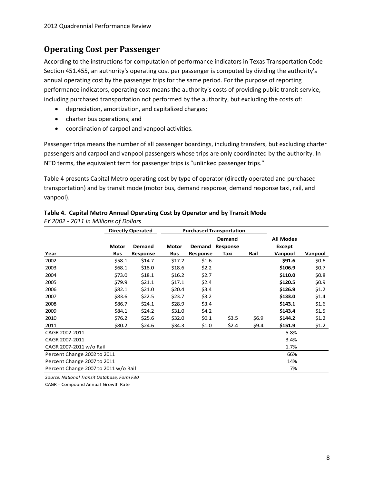### <span id="page-11-0"></span>**Operating Cost per Passenger**

According to the instructions for computation of performance indicators in Texas Transportation Code Section 451.455, an authority's operating cost per passenger is computed by dividing the authority's annual operating cost by the passenger trips for the same period. For the purpose of reporting performance indicators, operating cost means the authority's costs of providing public transit service, including purchased transportation not performed by the authority, but excluding the costs of:

- depreciation, amortization, and capitalized charges;
- charter bus operations; and
- coordination of carpool and vanpool activities.

Passenger trips means the number of all passenger boardings, including transfers, but excluding charter passengers and carpool and vanpool passengers whose trips are only coordinated by the authority. In NTD terms, the equivalent term for passenger trips is "unlinked passenger trips."

[Table 4](#page-11-1) presents Capital Metro operating cost by type of operator (directly operated and purchased transportation) and by transit mode (motor bus, demand response, demand response taxi, rail, and vanpool).

|                                      |              | <b>Directly Operated</b> |              |          | <b>Purchased Transportation</b> |       |                  |         |
|--------------------------------------|--------------|--------------------------|--------------|----------|---------------------------------|-------|------------------|---------|
|                                      |              |                          |              |          | Demand                          |       | <b>All Modes</b> |         |
|                                      | <b>Motor</b> | Demand                   | <b>Motor</b> | Demand   | Response                        |       | Except           |         |
| Year                                 | Bus          | Response                 | Bus          | Response | Taxi                            | Rail  | Vanpool          | Vanpool |
| 2002                                 | \$58.1       | \$14.7                   | \$17.2       | \$1.6    |                                 |       | \$91.6           | \$0.6\$ |
| 2003                                 | \$68.1       | \$18.0                   | \$18.6       | \$2.2    |                                 |       | \$106.9          | \$0.7   |
| 2004                                 | \$73.0       | \$18.1                   | \$16.2       | \$2.7    |                                 |       | \$110.0          | \$0.8\$ |
| 2005                                 | \$79.9       | \$21.1                   | \$17.1       | \$2.4    |                                 |       | \$120.5          | \$0.9   |
| 2006                                 | \$82.1       | \$21.0                   | \$20.4       | \$3.4    |                                 |       | \$126.9          | \$1.2   |
| 2007                                 | \$83.6       | \$22.5                   | \$23.7       | \$3.2    |                                 |       | \$133.0          | \$1.4   |
| 2008                                 | \$86.7       | \$24.1                   | \$28.9       | \$3.4    |                                 |       | \$143.1          | \$1.6   |
| 2009                                 | \$84.1       | \$24.2                   | \$31.0       | \$4.2    |                                 |       | \$143.4          | \$1.5   |
| 2010                                 | \$76.2       | \$25.6                   | \$32.0       | \$0.1    | \$3.5                           | \$6.9 | \$144.2          | \$1.2   |
| 2011                                 | \$80.2       | \$24.6                   | \$34.3       | \$1.0    | \$2.4                           | \$9.4 | \$151.9          | \$1.2\$ |
| CAGR 2002-2011                       |              |                          |              |          |                                 |       | 5.8%             |         |
| CAGR 2007-2011                       |              |                          |              |          |                                 |       | 3.4%             |         |
| CAGR 2007-2011 w/o Rail              |              |                          |              |          |                                 |       | 1.7%             |         |
| Percent Change 2002 to 2011          |              |                          |              |          | 66%                             |       |                  |         |
| Percent Change 2007 to 2011<br>14%   |              |                          |              |          |                                 |       |                  |         |
| Percent Change 2007 to 2011 w/o Rail |              |                          |              |          |                                 |       | 7%               |         |

### <span id="page-11-1"></span>**Table 4. Capital Metro Annual Operating Cost by Operator and by Transit Mode**

*FY 2002 - 2011 in Millions of Dollars*

*Source: National Transit Database, Form F30*

CAGR = Compound Annual Growth Rate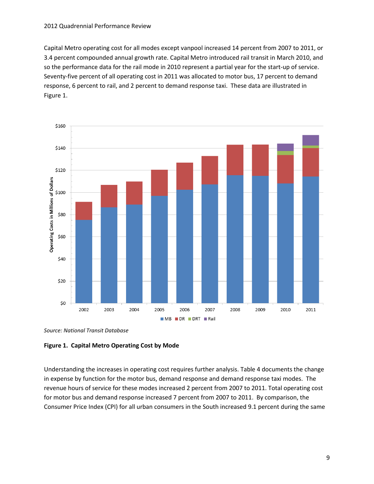Capital Metro operating cost for all modes except vanpool increased 14 percent from 2007 to 2011, or 3.4 percent compounded annual growth rate. Capital Metro introduced rail transit in March 2010, and so the performance data for the rail mode in 2010 represent a partial year for the start-up of service. Seventy-five percent of all operating cost in 2011 was allocated to motor bus, 17 percent to demand response, 6 percent to rail, and 2 percent to demand response taxi. These data are illustrated in [Figure 1.](#page-12-0)



*Source: National Transit Database*

#### <span id="page-12-0"></span>**Figure 1. Capital Metro Operating Cost by Mode**

Understanding the increases in operating cost requires further analysis. Table 4 documents the change in expense by function for the motor bus, demand response and demand response taxi modes. The revenue hours of service for these modes increased 2 percent from 2007 to 2011. Total operating cost for motor bus and demand response increased 7 percent from 2007 to 2011. By comparison, the Consumer Price Index (CPI) for all urban consumers in the South increased 9.1 percent during the same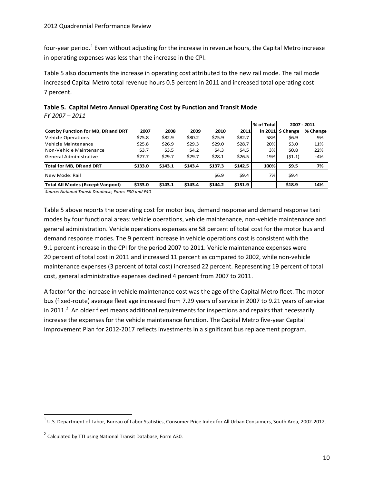four-year period.<sup>[1](#page-13-1)</sup> Even without adjusting for the increase in revenue hours, the Capital Metro increase in operating expenses was less than the increase in the CPI.

[Table 5](#page-13-0) also documents the increase in operating cost attributed to the new rail mode. The rail mode increased Capital Metro total revenue hours 0.5 percent in 2011 and increased total operating cost 7 percent.

|                                         |         |         |         |         |         | % of Total |                              | 2007 - 2011 |
|-----------------------------------------|---------|---------|---------|---------|---------|------------|------------------------------|-------------|
| Cost by Function for MB, DR and DRT     | 2007    | 2008    | 2009    | 2010    | 2011    |            | in 2011 $\frac{1}{2}$ Change | % Change    |
| <b>Vehicle Operations</b>               | \$75.8  | \$82.9  | \$80.2  | \$75.9  | \$82.7  | 58%        | \$6.9                        | 9%          |
| Vehicle Maintenance                     | \$25.8  | \$26.9  | \$29.3  | \$29.0  | \$28.7  | 20%        | \$3.0                        | 11%         |
| Non-Vehicle Maintenance                 | \$3.7   | \$3.5   | 54.2    | 54.3    | \$4.5   | 3%l        | \$0.8\$                      | 22%         |
| General Administrative                  | \$27.7  | \$29.7  | \$29.7  | \$28.1  | \$26.5  | 19%        | (51.1)                       | $-4%$       |
| Total for MB, DR and DRT                | \$133.0 | \$143.1 | \$143.4 | \$137.3 | \$142.5 | 100%       | \$9.5                        | 7%          |
| New Mode: Rail                          |         |         |         | \$6.9   | \$9.4   | 7%         | \$9.4                        |             |
| <b>Total All Modes (Except Vanpool)</b> | \$133.0 | \$143.1 | \$143.4 | \$144.2 | \$151.9 |            | \$18.9                       | 14%         |

<span id="page-13-0"></span>

|                | Table 5. Capital Metro Annual Operating Cost by Function and Transit Mode |
|----------------|---------------------------------------------------------------------------|
| FY 2007 - 2011 |                                                                           |

*Source: National Transit Database, Forms F30 and F40*

[Table 5](#page-13-0) above reports the operating cost for motor bus, demand response and demand response taxi modes by four functional areas: vehicle operations, vehicle maintenance, non-vehicle maintenance and general administration. Vehicle operations expenses are 58 percent of total cost for the motor bus and demand response modes. The 9 percent increase in vehicle operations cost is consistent with the 9.1 percent increase in the CPI for the period 2007 to 2011. Vehicle maintenance expenses were 20 percent of total cost in 2011 and increased 11 percent as compared to 2002, while non-vehicle maintenance expenses (3 percent of total cost) increased 22 percent. Representing 19 percent of total cost, general administrative expenses declined 4 percent from 2007 to 2011.

A factor for the increase in vehicle maintenance cost was the age of the Capital Metro fleet. The motor bus (fixed-route) average fleet age increased from 7.29 years of service in 2007 to 9.21 years of service in [2](#page-13-2)011.<sup>2</sup> An older fleet means additional requirements for inspections and repairs that necessarily increase the expenses for the vehicle maintenance function. The Capital Metro five-year Capital Improvement Plan for 2012-2017 reflects investments in a significant bus replacement program.

<span id="page-13-1"></span> $1$  U.S. Department of Labor, Bureau of Labor Statistics, Consumer Price Index for All Urban Consumers, South Area, 2002-2012.

<span id="page-13-2"></span><sup>&</sup>lt;sup>2</sup> Calculated by TTI using National Transit Database, Form A30.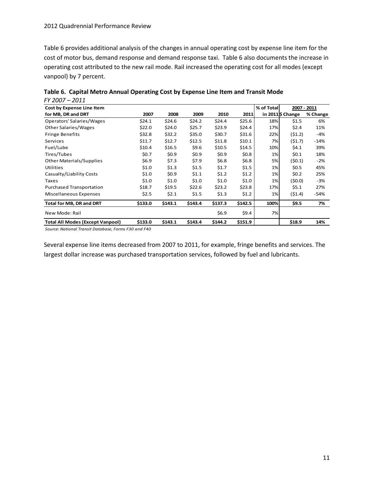#### 2012 Quadrennial Performance Review

[Table 6](#page-14-0) provides additional analysis of the changes in annual operating cost by expense line item for the cost of motor bus, demand response and demand response taxi. [Table 6](#page-14-0) also documents the increase in operating cost attributed to the new rail mode. Rail increased the operating cost for all modes (except vanpool) by 7 percent.

| , , , , ,<br>ᅩ◡ᅩᅩ<br>Cost by Expense Line Item |          |         |         |         |         | % of Total |                   | 2007 - 2011 |
|------------------------------------------------|----------|---------|---------|---------|---------|------------|-------------------|-------------|
| for MB, DR and DRT                             | 2007     | 2008    | 2009    | 2010    | 2011    |            | in 2011 \$ Change | % Change    |
| Operators' Salaries/Wages                      | \$24.1   | \$24.6  | \$24.2  | \$24.4  | \$25.6  | 18%        | \$1.5             | 6%          |
| <b>Other Salaries/Wages</b>                    | \$22.0   | \$24.0  | \$25.7  | \$23.9  | \$24.4  | 17%        | \$2.4             | 11%         |
| <b>Fringe Benefits</b>                         | \$32.8   | \$32.2  | \$35.0  | \$30.7  | \$31.6  | 22%        | (51.2)            | $-4%$       |
| Services                                       | \$11.7   | \$12.7  | \$12.5  | \$11.8  | \$10.1  | 7%         | (51.7)            | $-14%$      |
| Fuel/Lube                                      | \$10.4\$ | \$16.5  | \$9.6   | \$10.5  | \$14.5  | 10%        | \$4.1             | 39%         |
| Tires/Tubes                                    | \$0.7    | \$0.9   | \$0.9   | \$0.9   | \$0.8\$ | 1%         | \$0.1             | 18%         |
| <b>Other Materials/Supplies</b>                | \$6.9    | \$7.3   | \$7.9   | \$6.8\$ | \$6.8\$ | 5%         | (\$0.1)           | $-2%$       |
| Utilities                                      | \$1.0    | \$1.3   | \$1.5   | \$1.7   | \$1.5   | 1%         | \$0.5             | 45%         |
| Casualty/Liability Costs                       | \$1.0    | \$0.9   | \$1.1   | \$1.2   | \$1.2   | 1%         | \$0.2             | 25%         |
| Taxes                                          | \$1.0    | \$1.0   | \$1.0   | \$1.0   | \$1.0   | 1%         | (\$0.0)           | $-3%$       |
| Purchased Transportation                       | \$18.7   | \$19.5  | \$22.6  | \$23.2  | \$23.8  | 17%        | \$5.1             | 27%         |
| Miscellaneous Expenses                         | \$2.5    | \$2.1   | \$1.5   | \$1.3   | \$1.2   | 1%         | (51.4)            | $-54%$      |
| <b>Total for MB, DR and DRT</b>                | \$133.0  | \$143.1 | \$143.4 | \$137.3 | \$142.5 | 100%       | \$9.5             | 7%          |
| New Mode: Rail                                 |          |         |         | \$6.9   | \$9.4   | 7%         |                   |             |
| <b>Total All Modes (Except Vanpool)</b>        | \$133.0  | \$143.1 | \$143.4 | \$144.2 | \$151.9 |            | \$18.9            | 14%         |

<span id="page-14-0"></span>

|                | Table 6. Capital Metro Annual Operating Cost by Expense Line Item and Transit Mode |
|----------------|------------------------------------------------------------------------------------|
| FY 2007 - 2011 |                                                                                    |

*Source: National Transit Database, Forms F30 and F40*

Several expense line items decreased from 2007 to 2011, for example, fringe benefits and services. The largest dollar increase was purchased transportation services, followed by fuel and lubricants.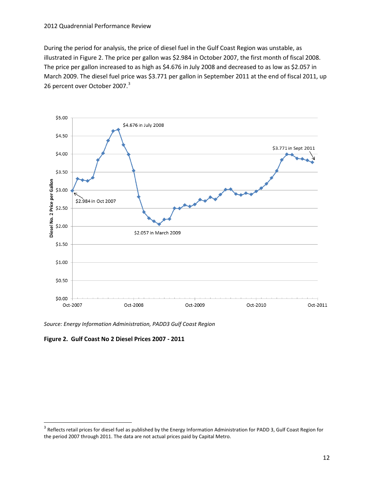During the period for analysis, the price of diesel fuel in the Gulf Coast Region was unstable, as illustrated i[n Figure 2.](#page-15-0) The price per gallon was \$2.984 in October 2007, the first month of fiscal 2008. The price per gallon increased to as high as \$4.676 in July 2008 and decreased to as low as \$2.057 in March 2009. The diesel fuel price was \$3.771 per gallon in September 2011 at the end of fiscal 2011, up 26 percent over October 2007.<sup>[3](#page-15-1)</sup>



*Source: Energy Information Administration, PADD3 Gulf Coast Region*

<span id="page-15-0"></span>**Figure 2. Gulf Coast No 2 Diesel Prices 2007 - 2011**

<span id="page-15-1"></span><sup>&</sup>lt;sup>3</sup> Reflects retail prices for diesel fuel as published by the Energy Information Administration for PADD 3, Gulf Coast Region for the period 2007 through 2011. The data are not actual prices paid by Capital Metro.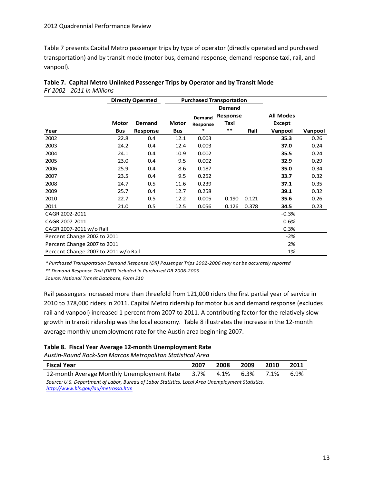[Table 7](#page-16-0) presents Capital Metro passenger trips by type of operator (directly operated and purchased transportation) and by transit mode (motor bus, demand response, demand response taxi, rail, and vanpool).

|                                      |              | <b>Directly Operated</b> |              | <b>Purchased Transportation</b> |          |       |                  |         |
|--------------------------------------|--------------|--------------------------|--------------|---------------------------------|----------|-------|------------------|---------|
|                                      |              |                          |              |                                 | Demand   |       |                  |         |
|                                      |              |                          |              | Demand                          | Response |       | <b>All Modes</b> |         |
|                                      | <b>Motor</b> | Demand                   | <b>Motor</b> | Response                        | Taxi     |       | Except           |         |
| Year                                 | <b>Bus</b>   | Response                 | <b>Bus</b>   | $\ast$                          | $***$    | Rail  | Vanpool          | Vanpool |
| 2002                                 | 22.8         | 0.4                      | 12.1         | 0.003                           |          |       | 35.3             | 0.26    |
| 2003                                 | 24.2         | 0.4                      | 12.4         | 0.003                           |          |       | 37.0             | 0.24    |
| 2004                                 | 24.1         | 0.4                      | 10.9         | 0.002                           |          |       | 35.5             | 0.24    |
| 2005                                 | 23.0         | 0.4                      | 9.5          | 0.002                           |          |       | 32.9             | 0.29    |
| 2006                                 | 25.9         | 0.4                      | 8.6          | 0.187                           |          |       | 35.0             | 0.34    |
| 2007                                 | 23.5         | 0.4                      | 9.5          | 0.252                           |          |       | 33.7             | 0.32    |
| 2008                                 | 24.7         | 0.5                      | 11.6         | 0.239                           |          |       | 37.1             | 0.35    |
| 2009                                 | 25.7         | 0.4                      | 12.7         | 0.258                           |          |       | 39.1             | 0.32    |
| 2010                                 | 22.7         | 0.5                      | 12.2         | 0.005                           | 0.190    | 0.121 | 35.6             | 0.26    |
| 2011                                 | 21.0         | 0.5                      | 12.5         | 0.056                           | 0.126    | 0.378 | 34.5             | 0.23    |
| CAGR 2002-2011                       |              |                          |              |                                 |          |       | $-0.3%$          |         |
| CAGR 2007-2011                       |              |                          |              |                                 |          |       | 0.6%             |         |
| CAGR 2007-2011 w/o Rail              |              |                          |              |                                 |          |       | 0.3%             |         |
| Percent Change 2002 to 2011          |              |                          |              |                                 |          |       | $-2%$            |         |
| Percent Change 2007 to 2011          |              |                          |              |                                 | 2%       |       |                  |         |
| Percent Change 2007 to 2011 w/o Rail |              |                          |              |                                 |          |       | 1%               |         |

<span id="page-16-0"></span>

| Table 7. Capital Metro Unlinked Passenger Trips by Operator and by Transit Mode |
|---------------------------------------------------------------------------------|
| FY 2002 - 2011 in Millions                                                      |

*\* Purchased Transportation Demand Response (DR) Passenger Trips 2002-2006 may not be accurately reported*

*\*\* Demand Response Taxi (DRT) included in Purchased DR 2006-2009*

*Source: National Transit Database, Form S10*

Rail passengers increased more than threefold from 121,000 riders the first partial year of service in 2010 to 378,000 riders in 2011. Capital Metro ridership for motor bus and demand response (excludes rail and vanpool) increased 1 percent from 2007 to 2011. A contributing factor for the relatively slow growth in transit ridership was the local economy. [Table 8](#page-16-1) illustrates the increase in the 12-month average monthly unemployment rate for the Austin area beginning 2007.

#### <span id="page-16-1"></span>**Table 8. Fiscal Year Average 12-month Unemployment Rate**

*Austin-Round Rock-San Marcos Metropolitan Statistical Area*

| <b>Fiscal Year</b>                                                                                | 2007 | 2008 | 2009 | 2010 | 2011 |
|---------------------------------------------------------------------------------------------------|------|------|------|------|------|
| 12-month Average Monthly Unemployment Rate                                                        | 3.7% | 4.1% | 6.3% | 7.1% | 6.9% |
| Source: U.S. Department of Labor, Bureau of Labor Statistics. Local Area Unemployment Statistics. |      |      |      |      |      |

*<http://www.bls.gov/lau/metrossa.htm>*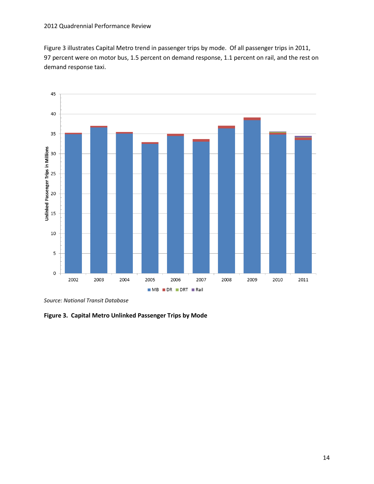#### 2012 Quadrennial Performance Review

[Figure 3](#page-17-0) illustrates Capital Metro trend in passenger trips by mode. Of all passenger trips in 2011, 97 percent were on motor bus, 1.5 percent on demand response, 1.1 percent on rail, and the rest on demand response taxi.



*Source: National Transit Database*

<span id="page-17-0"></span>**Figure 3. Capital Metro Unlinked Passenger Trips by Mode**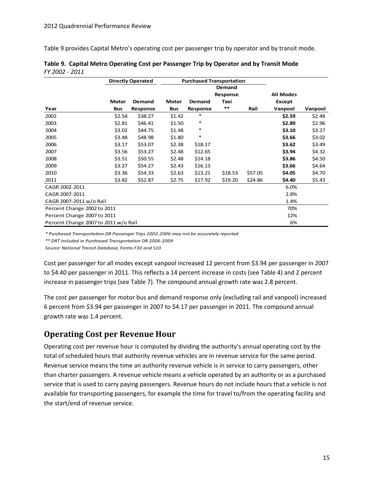[Table 9](#page-18-1) provides Capital Metro's operating cost per passenger trip by operator and by transit mode.

| <b>Directly Operated</b>             |              | <b>Purchased Transportation</b> |            |          |          |         |                  |         |
|--------------------------------------|--------------|---------------------------------|------------|----------|----------|---------|------------------|---------|
|                                      |              |                                 |            |          | Demand   |         |                  |         |
|                                      |              |                                 |            |          | Response |         | <b>All Modes</b> |         |
|                                      | <b>Motor</b> | Demand                          | Motor      | Demand   | Taxi     |         | Except           |         |
| Year                                 | <b>Bus</b>   | Response                        | <b>Bus</b> | Response | $***$    | Rail    | Vanpool          | Vanpool |
| 2002                                 | \$2.54       | \$38.27                         | \$1.42     | *        |          |         | \$2.59           | \$2.48  |
| 2003                                 | \$2.81       | \$46.41                         | \$1.50     | $\ast$   |          |         | \$2.89           | \$2.96  |
| 2004                                 | \$3.02       | \$44.75                         | \$1.48     | $\ast$   |          |         | \$3.10           | \$3.27  |
| 2005                                 | \$3.48       | \$48.98                         | \$1.80     | $\ast$   |          |         | \$3.66           | \$3.02  |
| 2006                                 | \$3.17       | \$53.07                         | \$2.38     | \$18.17  |          |         | \$3.62           | \$3.49  |
| 2007                                 | \$3.56       | \$53.27                         | \$2.48     | \$12.65  |          |         | \$3.94           | \$4.32  |
| 2008                                 | \$3.51       | \$50.55                         | \$2.48     | \$14.18  |          |         | \$3.86           | \$4.50  |
| 2009                                 | \$3.27       | \$54.27                         | \$2.43     | \$16.13  |          |         | \$3.66           | \$4.64  |
| 2010                                 | \$3.36       | \$54.33                         | \$2.63     | \$13.21  | \$18.53  | \$57.05 | \$4.05           | \$4.70  |
| 2011                                 | \$3.82       | \$52.87                         | \$2.75     | \$17.92  | \$19.20  | \$24.86 | \$4.40           | \$5.43  |
| CAGR 2002-2011                       |              |                                 |            |          |          |         | 6.0%             |         |
| CAGR 2007-2011                       |              |                                 |            |          |          |         | 2.8%             |         |
| CAGR 2007-2011 w/o Rail              |              |                                 |            |          |          |         | 1.4%             |         |
| 70%<br>Percent Change 2002 to 2011   |              |                                 |            |          |          |         |                  |         |
| 12%<br>Percent Change 2007 to 2011   |              |                                 |            |          |          |         |                  |         |
| Percent Change 2007 to 2011 w/o Rail |              |                                 |            |          |          |         | 6%               |         |

<span id="page-18-1"></span>

|                | Table 9. Capital Metro Operating Cost per Passenger Trip by Operator and by Transit Mode |
|----------------|------------------------------------------------------------------------------------------|
| FY 2002 - 2011 |                                                                                          |

*\* Purchased Transportation DR Passenger Trips 2002-2006 may not be accurately reported*

*\*\* DRT included in Purchased Transportation DR 2006-2009*

*Source: National Transit Database, Forms F30 and S10*

Cost per passenger for all modes except vanpool increased 12 percent from \$3.94 per passenger in 2007 to \$4.40 per passenger in 2011. This reflects a 14 percent increase in costs (see [Table 4\)](#page-11-1) and 2 percent increase in passenger trips (see [Table 7\)](#page-16-0). The compound annual growth rate was 2.8 percent.

The cost per passenger for motor bus and demand response only (excluding rail and vanpool) increased 6 percent from \$3.94 per passenger in 2007 to \$4.17 per passenger in 2011. The compound annual growth rate was 1.4 percent.

### <span id="page-18-0"></span>**Operating Cost per Revenue Hour**

Operating cost per revenue hour is computed by dividing the authority's annual operating cost by the total of scheduled hours that authority revenue vehicles are in revenue service for the same period. Revenue service means the time an authority revenue vehicle is in service to carry passengers, other than charter passengers. A revenue vehicle means a vehicle operated by an authority or as a purchased service that is used to carry paying passengers. Revenue hours do not include hours that a vehicle is not available for transporting passengers, for example the time for travel to/from the operating facility and the start/end of revenue service.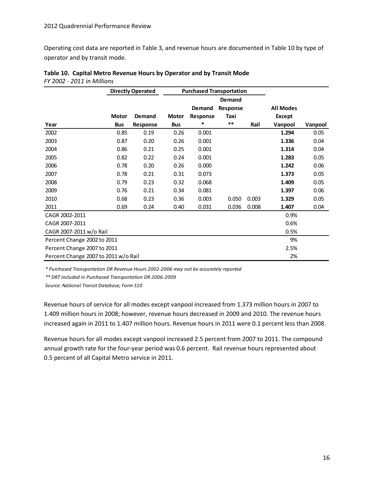Operating cost data are reported in Table 3, and revenue hours are documented in [Table 10](#page-19-0) by type of operator and by transit mode.

| <b>Directly Operated</b>             |              | <b>Purchased Transportation</b> |              |          |               |       |                  |         |
|--------------------------------------|--------------|---------------------------------|--------------|----------|---------------|-------|------------------|---------|
|                                      |              |                                 |              |          | <b>Demand</b> |       |                  |         |
|                                      |              |                                 |              | Demand   | Response      |       | <b>All Modes</b> |         |
|                                      | <b>Motor</b> | <b>Demand</b>                   | <b>Motor</b> | Response | Taxi          |       | Except           |         |
| Year                                 | <b>Bus</b>   | Response                        | <b>Bus</b>   | $\ast$   | $\ast\ast$    | Rail  | Vanpool          | Vanpool |
| 2002                                 | 0.85         | 0.19                            | 0.26         | 0.001    |               |       | 1.294            | 0.05    |
| 2003                                 | 0.87         | 0.20                            | 0.26         | 0.001    |               |       | 1.336            | 0.04    |
| 2004                                 | 0.86         | 0.21                            | 0.25         | 0.001    |               |       | 1.314            | 0.04    |
| 2005                                 | 0.82         | 0.22                            | 0.24         | 0.001    |               |       | 1.283            | 0.05    |
| 2006                                 | 0.78         | 0.20                            | 0.26         | 0.000    |               |       | 1.242            | 0.06    |
| 2007                                 | 0.78         | 0.21                            | 0.31         | 0.073    |               |       | 1.373            | 0.05    |
| 2008                                 | 0.79         | 0.23                            | 0.32         | 0.068    |               |       | 1.409            | 0.05    |
| 2009                                 | 0.76         | 0.21                            | 0.34         | 0.081    |               |       | 1.397            | 0.06    |
| 2010                                 | 0.68         | 0.23                            | 0.36         | 0.003    | 0.050         | 0.003 | 1.329            | 0.05    |
| 2011                                 | 0.69         | 0.24                            | 0.40         | 0.031    | 0.036         | 0.008 | 1.407            | 0.04    |
| CAGR 2002-2011                       |              |                                 |              |          |               |       | 0.9%             |         |
| CAGR 2007-2011                       |              |                                 |              |          |               |       | 0.6%             |         |
| CAGR 2007-2011 w/o Rail              |              |                                 |              |          |               |       | 0.5%             |         |
| 9%<br>Percent Change 2002 to 2011    |              |                                 |              |          |               |       |                  |         |
| Percent Change 2007 to 2011<br>2.5%  |              |                                 |              |          |               |       |                  |         |
| Percent Change 2007 to 2011 w/o Rail |              |                                 |              |          |               |       | 2%               |         |

<span id="page-19-0"></span>

| Table 10. Capital Metro Revenue Hours by Operator and by Transit Mode |  |
|-----------------------------------------------------------------------|--|
| FY 2002 - 2011 in Millions                                            |  |

*\* Purchased Transportation DR Revenue Hours 2002-2006 may not be accurately reported*

*\*\* DRT included in Purchased Transportation DR 2006-2009*

*Source: National Transit Database, Form S10*

Revenue hours of service for all modes except vanpool increased from 1.373 million hours in 2007 to 1.409 million hours in 2008; however, revenue hours decreased in 2009 and 2010. The revenue hours increased again in 2011 to 1.407 million hours. Revenue hours in 2011 were 0.1 percent less than 2008.

Revenue hours for all modes except vanpool increased 2.5 percent from 2007 to 2011. The compound annual growth rate for the four-year period was 0.6 percent. Rail revenue hours represented about 0.5 percent of all Capital Metro service in 2011.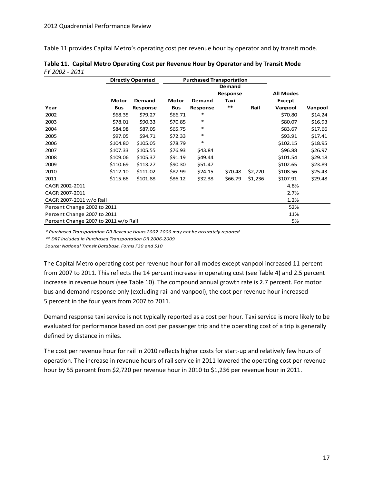[Table 11](#page-20-0) provides Capital Metro's operating cost per revenue hour by operator and by transit mode.

|                                      |              | <b>Directly Operated</b> |              |          | <b>Purchased Transportation</b> |         |                  |         |
|--------------------------------------|--------------|--------------------------|--------------|----------|---------------------------------|---------|------------------|---------|
|                                      |              |                          |              |          | Demand                          |         |                  |         |
|                                      |              |                          |              |          | Response                        |         | <b>All Modes</b> |         |
|                                      | <b>Motor</b> | Demand                   | <b>Motor</b> | Demand   | Taxi                            |         | <b>Except</b>    |         |
| Year                                 | <b>Bus</b>   | Response                 | <b>Bus</b>   | Response | $***$                           | Rail    | Vanpool          | Vanpool |
| 2002                                 | \$68.35      | \$79.27                  | \$66.71      | $\ast$   |                                 |         | \$70.80          | \$14.24 |
| 2003                                 | \$78.01      | \$90.33                  | \$70.85      | $\ast$   |                                 |         | \$80.07          | \$16.93 |
| 2004                                 | \$84.98      | \$87.05                  | \$65.75      | $\ast$   |                                 |         | \$83.67          | \$17.66 |
| 2005                                 | \$97.05      | \$94.71                  | \$72.33      | $\ast$   |                                 |         | \$93.91          | \$17.41 |
| 2006                                 | \$104.80     | \$105.05                 | \$78.79      | $\ast$   |                                 |         | \$102.15         | \$18.95 |
| 2007                                 | \$107.33     | \$105.55                 | \$76.93      | \$43.84  |                                 |         | \$96.88          | \$26.97 |
| 2008                                 | \$109.06     | \$105.37                 | \$91.19      | \$49.44  |                                 |         | \$101.54         | \$29.18 |
| 2009                                 | \$110.69     | \$113.27                 | \$90.30      | \$51.47  |                                 |         | \$102.65         | \$23.89 |
| 2010                                 | \$112.10     | \$111.02                 | \$87.99      | \$24.15  | \$70.48                         | \$2,720 | \$108.56         | \$25.43 |
| 2011                                 | \$115.66     | \$101.88                 | \$86.12      | \$32.38  | \$66.79                         | \$1,236 | \$107.91         | \$29.48 |
| CAGR 2002-2011                       |              |                          |              |          |                                 |         | 4.8%             |         |
| CAGR 2007-2011                       |              |                          |              |          |                                 |         | 2.7%             |         |
| CAGR 2007-2011 w/o Rail              |              |                          |              | 1.2%     |                                 |         |                  |         |
| 52%<br>Percent Change 2002 to 2011   |              |                          |              |          |                                 |         |                  |         |
| Percent Change 2007 to 2011<br>11%   |              |                          |              |          |                                 |         |                  |         |
| Percent Change 2007 to 2011 w/o Rail |              |                          |              |          |                                 |         | 5%               |         |

<span id="page-20-0"></span>

|                | Table 11. Capital Metro Operating Cost per Revenue Hour by Operator and by Transit Mode |
|----------------|-----------------------------------------------------------------------------------------|
| FY 2002 - 2011 |                                                                                         |

*\* Purchased Transportation DR Revenue Hours 2002-2006 may not be accurately reported*

*\*\* DRT included in Purchased Transportation DR 2006-2009*

*Source: National Transit Database, Forms F30 and S10*

The Capital Metro operating cost per revenue hour for all modes except vanpool increased 11 percent from 2007 to 2011. This reflects the 14 percent increase in operating cost (see [Table 4\)](#page-11-1) and 2.5 percent increase in revenue hours (see [Table 10\)](#page-19-0). The compound annual growth rate is 2.7 percent. For motor bus and demand response only (excluding rail and vanpool), the cost per revenue hour increased 5 percent in the four years from 2007 to 2011.

Demand response taxi service is not typically reported as a cost per hour. Taxi service is more likely to be evaluated for performance based on cost per passenger trip and the operating cost of a trip is generally defined by distance in miles.

The cost per revenue hour for rail in 2010 reflects higher costs for start-up and relatively few hours of operation. The increase in revenue hours of rail service in 2011 lowered the operating cost per revenue hour by 55 percent from \$2,720 per revenue hour in 2010 to \$1,236 per revenue hour in 2011.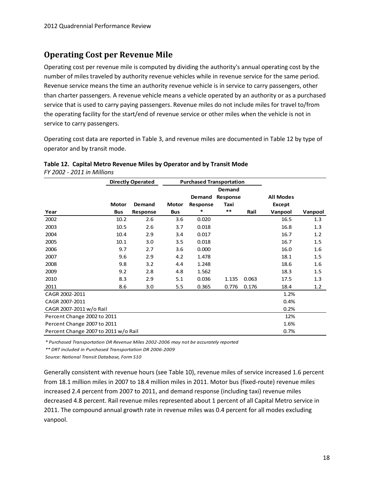### <span id="page-21-0"></span>**Operating Cost per Revenue Mile**

Operating cost per revenue mile is computed by dividing the authority's annual operating cost by the number of miles traveled by authority revenue vehicles while in revenue service for the same period. Revenue service means the time an authority revenue vehicle is in service to carry passengers, other than charter passengers. A revenue vehicle means a vehicle operated by an authority or as a purchased service that is used to carry paying passengers. Revenue miles do not include miles for travel to/from the operating facility for the start/end of revenue service or other miles when the vehicle is not in service to carry passengers.

Operating cost data are reported in Table 3, and revenue miles are documented in [Table 12](#page-21-1) by type of operator and by transit mode.

<span id="page-21-1"></span>

| Table 12. Capital Metro Revenue Miles by Operator and by Transit Mode |  |
|-----------------------------------------------------------------------|--|
| FY 2002 - 2011 in Millions                                            |  |

| <b>Directly Operated</b>             |              |          | <b>Purchased Transportation</b> |          |          |       |                  |         |
|--------------------------------------|--------------|----------|---------------------------------|----------|----------|-------|------------------|---------|
|                                      |              |          |                                 |          | Demand   |       |                  |         |
|                                      |              |          |                                 | Demand   | Response |       | <b>All Modes</b> |         |
|                                      | <b>Motor</b> | Demand   | <b>Motor</b>                    | Response | Taxi     |       | Except           |         |
| Year                                 | <b>Bus</b>   | Response | <b>Bus</b>                      | *        | $***$    | Rail  | Vanpool          | Vanpool |
| 2002                                 | 10.2         | 2.6      | 3.6                             | 0.020    |          |       | 16.5             | 1.3     |
| 2003                                 | 10.5         | 2.6      | 3.7                             | 0.018    |          |       | 16.8             | 1.3     |
| 2004                                 | 10.4         | 2.9      | 3.4                             | 0.017    |          |       | 16.7             | 1.2     |
| 2005                                 | 10.1         | 3.0      | 3.5                             | 0.018    |          |       | 16.7             | 1.5     |
| 2006                                 | 9.7          | 2.7      | 3.6                             | 0.000    |          |       | 16.0             | 1.6     |
| 2007                                 | 9.6          | 2.9      | 4.2                             | 1.478    |          |       | 18.1             | 1.5     |
| 2008                                 | 9.8          | 3.2      | 4.4                             | 1.248    |          |       | 18.6             | 1.6     |
| 2009                                 | 9.2          | 2.8      | 4.8                             | 1.562    |          |       | 18.3             | 1.5     |
| 2010                                 | 8.3          | 2.9      | 5.1                             | 0.036    | 1.135    | 0.063 | 17.5             | 1.3     |
| 2011                                 | 8.6          | 3.0      | 5.5                             | 0.365    | 0.776    | 0.176 | 18.4             | 1.2     |
| CAGR 2002-2011                       |              |          |                                 |          |          |       | 1.2%             |         |
| CAGR 2007-2011                       |              |          |                                 |          |          |       | 0.4%             |         |
| CAGR 2007-2011 w/o Rail              |              |          |                                 |          |          |       | 0.2%             |         |
| Percent Change 2002 to 2011          |              |          |                                 |          |          |       | 12%              |         |
| Percent Change 2007 to 2011          |              |          |                                 |          |          |       | 1.6%             |         |
| Percent Change 2007 to 2011 w/o Rail |              |          |                                 |          |          |       | 0.7%             |         |

*\* Purchased Transportation DR Revenue Miles 2002-2006 may not be accurately reported*

*\*\* DRT included in Purchased Transportation DR 2006-2009*

*Source: National Transit Database, Form S10*

Generally consistent with revenue hours (see [Table 10\)](#page-19-0), revenue miles of service increased 1.6 percent from 18.1 million miles in 2007 to 18.4 million miles in 2011. Motor bus (fixed-route) revenue miles increased 2.4 percent from 2007 to 2011, and demand response (including taxi) revenue miles decreased 4.8 percent. Rail revenue miles represented about 1 percent of all Capital Metro service in 2011. The compound annual growth rate in revenue miles was 0.4 percent for all modes excluding vanpool.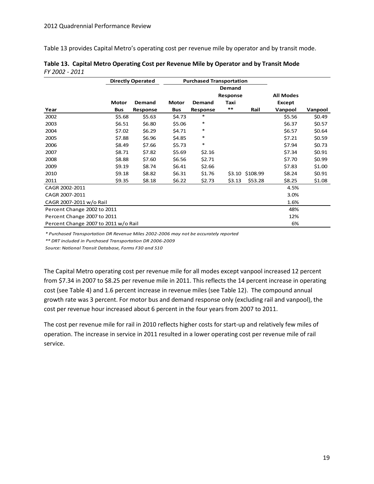[Table 13](#page-22-0) provides Capital Metro's operating cost per revenue mile by operator and by transit mode.

|                                      |            | <b>Directly Operated</b> |              | <b>Purchased Transportation</b> |               |          |                  |         |
|--------------------------------------|------------|--------------------------|--------------|---------------------------------|---------------|----------|------------------|---------|
|                                      |            |                          |              |                                 | <b>Demand</b> |          |                  |         |
|                                      |            |                          |              |                                 | Response      |          | <b>All Modes</b> |         |
|                                      | Motor      | Demand                   | <b>Motor</b> | Demand                          | Taxi          |          | Except           |         |
| Year                                 | <b>Bus</b> | Response                 | <b>Bus</b>   | Response                        | $***$         | Rail     | Vanpool          | Vanpool |
| 2002                                 | \$5.68     | \$5.63                   | \$4.73       | $\ast$                          |               |          | \$5.56           | \$0.49  |
| 2003                                 | \$6.51     | \$6.80                   | \$5.06       | $\ast$                          |               |          | \$6.37           | \$0.57  |
| 2004                                 | \$7.02     | \$6.29                   | \$4.71       | $\ast$                          |               |          | \$6.57           | \$0.64  |
| 2005                                 | \$7.88     | \$6.96                   | \$4.85       | $\ast$                          |               |          | \$7.21           | \$0.59  |
| 2006                                 | \$8.49     | \$7.66                   | \$5.73       | $\ast$                          |               |          | \$7.94           | \$0.73  |
| 2007                                 | \$8.71     | \$7.82                   | \$5.69       | \$2.16                          |               |          | \$7.34           | \$0.91  |
| 2008                                 | \$8.88     | \$7.60                   | \$6.56       | \$2.71                          |               |          | \$7.70           | \$0.99  |
| 2009                                 | \$9.19     | \$8.74                   | \$6.41       | \$2.66                          |               |          | \$7.83           | \$1.00  |
| 2010                                 | \$9.18     | \$8.82                   | \$6.31       | \$1.76                          | \$3.10        | \$108.99 | \$8.24           | \$0.91  |
| 2011                                 | \$9.35     | \$8.18                   | \$6.22       | \$2.73                          | \$3.13        | \$53.28  | \$8.25           | \$1.08  |
| CAGR 2002-2011                       |            |                          |              |                                 |               |          | 4.5%             |         |
| CAGR 2007-2011                       |            |                          |              |                                 |               |          | 3.0%             |         |
| CAGR 2007-2011 w/o Rail              |            |                          |              |                                 |               |          | 1.6%             |         |
| Percent Change 2002 to 2011          |            |                          |              |                                 | 48%           |          |                  |         |
| Percent Change 2007 to 2011          |            |                          |              |                                 | 12%           |          |                  |         |
| Percent Change 2007 to 2011 w/o Rail |            |                          |              |                                 |               |          | 6%               |         |

<span id="page-22-0"></span>

|                | Table 13. Capital Metro Operating Cost per Revenue Mile by Operator and by Transit Mode |
|----------------|-----------------------------------------------------------------------------------------|
| FY 2002 - 2011 |                                                                                         |

*\* Purchased Transportation DR Revenue Miles 2002-2006 may not be accurately reported*

*\*\* DRT included in Purchased Transportation DR 2006-2009*

*Source: National Transit Database, Forms F30 and S10*

The Capital Metro operating cost per revenue mile for all modes except vanpool increased 12 percent from \$7.34 in 2007 to \$8.25 per revenue mile in 2011. This reflects the 14 percent increase in operating cost (see [Table 4\)](#page-11-1) and 1.6 percent increase in revenue miles (see [Table 12\)](#page-21-1). The compound annual growth rate was 3 percent. For motor bus and demand response only (excluding rail and vanpool), the cost per revenue hour increased about 6 percent in the four years from 2007 to 2011.

The cost per revenue mile for rail in 2010 reflects higher costs for start-up and relatively few miles of operation. The increase in service in 2011 resulted in a lower operating cost per revenue mile of rail service.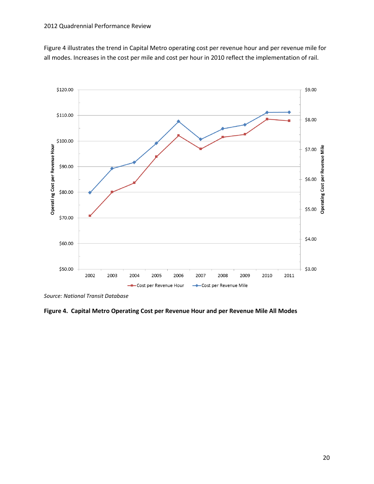[Figure](#page-23-0) 4 illustrates the trend in Capital Metro operating cost per revenue hour and per revenue mile for all modes. Increases in the cost per mile and cost per hour in 2010 reflect the implementation of rail.



*Source: National Transit Database*

<span id="page-23-0"></span>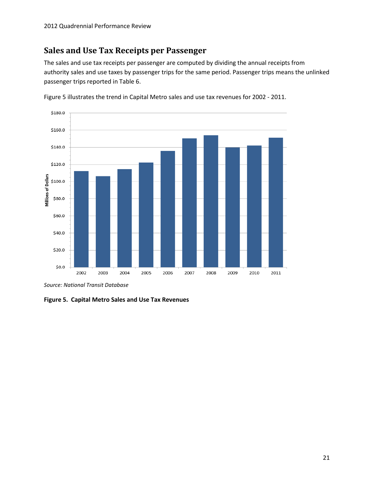### <span id="page-24-0"></span>**Sales and Use Tax Receipts per Passenger**

The sales and use tax receipts per passenger are computed by dividing the annual receipts from authority sales and use taxes by passenger trips for the same period. Passenger trips means the unlinked passenger trips reported in Table 6.



[Figure 5](#page-24-1) illustrates the trend in Capital Metro sales and use tax revenues for 2002 - 2011.

*Source: National Transit Database*

<span id="page-24-1"></span>**Figure 5. Capital Metro Sales and Use Tax Revenues**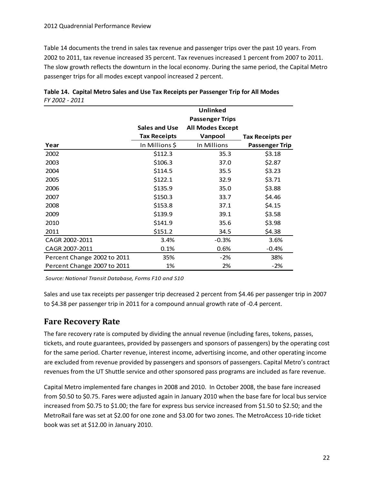[Table 14](#page-25-1) documents the trend in sales tax revenue and passenger trips over the past 10 years. From 2002 to 2011, tax revenue increased 35 percent. Tax revenues increased 1 percent from 2007 to 2011. The slow growth reflects the downturn in the local economy. During the same period, the Capital Metro passenger trips for all modes except vanpool increased 2 percent.

|                             |                      | Unlinked<br><b>Passenger Trips</b> |                  |
|-----------------------------|----------------------|------------------------------------|------------------|
|                             | <b>Sales and Use</b> | <b>All Modes Except</b>            |                  |
|                             | <b>Tax Receipts</b>  | Vanpool                            | Tax Receipts per |
| Year                        | In Millions \$       | In Millions                        | Passenger Trip   |
| 2002                        | \$112.3              | 35.3                               | \$3.18           |
| 2003                        | \$106.3              | 37.0                               | \$2.87           |
| 2004                        | \$114.5              | 35.5                               | \$3.23           |
| 2005                        | \$122.1              | 32.9                               | \$3.71           |
| 2006                        | \$135.9              | 35.0                               | \$3.88           |
| 2007                        | \$150.3              | 33.7                               | \$4.46           |
| 2008                        | \$153.8              | 37.1                               | \$4.15           |
| 2009                        | \$139.9              | 39.1                               | \$3.58           |
| 2010                        | \$141.9              | 35.6                               | \$3.98           |
| 2011                        | \$151.2              | 34.5                               | \$4.38           |
| CAGR 2002-2011              | 3.4%                 | $-0.3%$                            | 3.6%             |
| CAGR 2007-2011              | 0.1%                 | 0.6%                               | $-0.4%$          |
| Percent Change 2002 to 2011 | 35%                  | $-2\%$                             | 38%              |
| Percent Change 2007 to 2011 | 1%                   | 2%                                 | $-2%$            |

<span id="page-25-1"></span>

|                | Table 14. Capital Metro Sales and Use Tax Receipts per Passenger Trip for All Modes |
|----------------|-------------------------------------------------------------------------------------|
| FY 2002 - 2011 |                                                                                     |

*Source: National Transit Database, Forms F10 and S10*

Sales and use tax receipts per passenger trip decreased 2 percent from \$4.46 per passenger trip in 2007 to \$4.38 per passenger trip in 2011 for a compound annual growth rate of -0.4 percent.

### <span id="page-25-0"></span>**Fare Recovery Rate**

The fare recovery rate is computed by dividing the annual revenue (including fares, tokens, passes, tickets, and route guarantees, provided by passengers and sponsors of passengers) by the operating cost for the same period. Charter revenue, interest income, advertising income, and other operating income are excluded from revenue provided by passengers and sponsors of passengers. Capital Metro's contract revenues from the UT Shuttle service and other sponsored pass programs are included as fare revenue.

Capital Metro implemented fare changes in 2008 and 2010. In October 2008, the base fare increased from \$0.50 to \$0.75. Fares were adjusted again in January 2010 when the base fare for local bus service increased from \$0.75 to \$1.00; the fare for express bus service increased from \$1.50 to \$2.50; and the MetroRail fare was set at \$2.00 for one zone and \$3.00 for two zones. The MetroAccess 10-ride ticket book was set at \$12.00 in January 2010.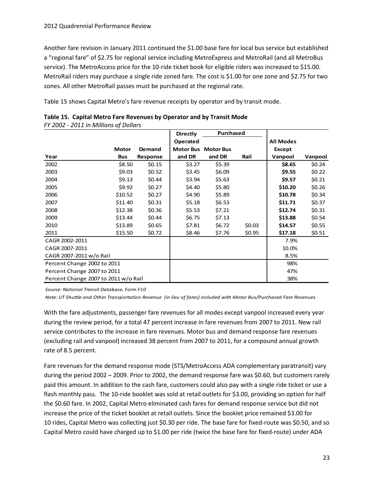Another fare revision in January 2011 continued the \$1.00 base fare for local bus service but established a "regional fare" of \$2.75 for regional service including MetroExpress and MetroRail (and all MetroBus service). The MetroAccess price for the 10-ride ticket book for eligible riders was increased to \$15.00. MetroRail riders may purchase a single ride zoned fare. The cost is \$1.00 for one zone and \$2.75 for two zones. All other MetroRail passes must be purchased at the regional rate.

[Table 15](#page-26-0) shows Capital Metro's fare revenue receipts by operator and by transit mode.

| FY 2002 - 2011 in Millions of Dollars |              |          |                  |                  |          |                  |         |
|---------------------------------------|--------------|----------|------------------|------------------|----------|------------------|---------|
|                                       |              |          | <b>Directly</b>  | Purchased        |          |                  |         |
|                                       |              |          | Operated         |                  |          | <b>All Modes</b> |         |
|                                       | <b>Motor</b> | Demand   | <b>Motor Bus</b> | <b>Motor Bus</b> |          | Except           |         |
| Year                                  | <b>Bus</b>   | Response | and DR           | and DR           | Rail     | Vanpool          | Vanpool |
| 2002                                  | \$8.50       | \$0.15   | \$3.27           | \$5.39           |          | \$8.65           | \$0.24  |
| 2003                                  | \$9.03       | \$0.52   | \$3.45           | \$6.09           |          | \$9.55           | \$0.22  |
| 2004                                  | \$9.13       | \$0.44   | \$3.94           | \$5.63           |          | \$9.57           | \$0.21  |
| 2005                                  | \$9.92       | \$0.27   | \$4.40           | \$5.80           |          | \$10.20          | \$0.26  |
| 2006                                  | \$10.52      | \$0.27   | \$4.90           | \$5.89           |          | \$10.78          | \$0.34  |
| 2007                                  | \$11.40      | \$0.31   | \$5.18           | \$6.53           |          | \$11.71          | \$0.37  |
| 2008                                  | \$12.38      | \$0.36   | \$5.53           | \$7.21           |          | \$12.74          | \$0.31  |
| 2009                                  | \$13.44      | \$0.44   | \$6.75           | \$7.13           |          | \$13.88          | \$0.54  |
| 2010                                  | \$13.89      | \$0.65   | \$7.81           | \$6.72           | \$0.03\$ | \$14.57          | \$0.55  |
| 2011                                  | \$15.50      | \$0.72   | \$8.46           | \$7.76           | \$0.95   | \$17.18          | \$0.51  |
| CAGR 2002-2011                        |              |          |                  |                  |          | 7.9%             |         |
| CAGR 2007-2011                        |              |          |                  |                  |          | 10.0%            |         |
| CAGR 2007-2011 w/o Rail               |              |          |                  |                  |          | 8.5%             |         |
| Percent Change 2002 to 2011           |              |          |                  |                  |          | 98%              |         |
| Percent Change 2007 to 2011           |              |          |                  |                  |          | 47%              |         |
| Percent Change 2007 to 2011 w/o Rail  |              |          |                  |                  |          | 38%              |         |

<span id="page-26-0"></span>

|  | Table 15. Capital Metro Fare Revenues by Operator and by Transit Mode |  |  |
|--|-----------------------------------------------------------------------|--|--|
|  |                                                                       |  |  |

*Source: National Transit Database, Form F10*

*Note: UT Shuttle and Other Transportation Revenue (in lieu of fares) included with Motor Bus/Purchased Fare Revenues*

With the fare adjustments, passenger fare revenues for all modes except vanpool increased every year during the review period, for a total 47 percent increase in fare revenues from 2007 to 2011. New rail service contributes to the increase in fare revenues. Motor bus and demand response fare revenues (excluding rail and vanpool) increased 38 percent from 2007 to 2011, for a compound annual growth rate of 8.5 percent.

Fare revenues for the demand response mode (STS/MetroAccess ADA complementary paratransit) vary during the period 2002 – 2009. Prior to 2002, the demand response fare was \$0.60, but customers rarely paid this amount. In addition to the cash fare, customers could also pay with a single ride ticket or use a flash monthly pass. The 10-ride booklet was sold at retail outlets for \$3.00, providing an option for half the \$0.60 fare. In 2002, Capital Metro eliminated cash fares for demand response service but did not increase the price of the ticket booklet at retail outlets. Since the booklet price remained \$3.00 for 10 rides, Capital Metro was collecting just \$0.30 per ride. The base fare for fixed-route was \$0.50, and so Capital Metro could have charged up to \$1.00 per ride (twice the base fare for fixed-route) under ADA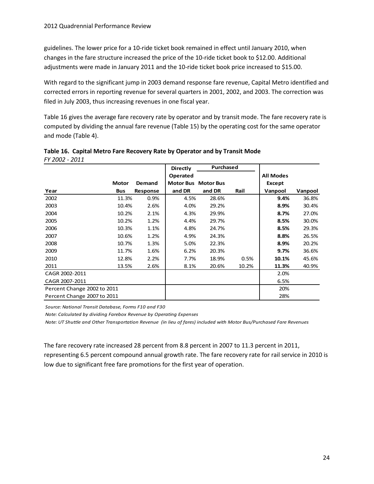guidelines. The lower price for a 10-ride ticket book remained in effect until January 2010, when changes in the fare structure increased the price of the 10-ride ticket book to \$12.00. Additional adjustments were made in January 2011 and the 10-ride ticket book price increased to \$15.00.

With regard to the significant jump in 2003 demand response fare revenue, Capital Metro identified and corrected errors in reporting revenue for several quarters in 2001, 2002, and 2003. The correction was filed in July 2003, thus increasing revenues in one fiscal year.

[Table 16](#page-27-0) gives the average fare recovery rate by operator and by transit mode. The fare recovery rate is computed by dividing the annual fare revenue [\(Table 15\)](#page-26-0) by the operating cost for the same operator and mode [\(Table 4\)](#page-11-1).

|                             |              |          | <b>Directly</b> | Purchased                  |       |                  |         |
|-----------------------------|--------------|----------|-----------------|----------------------------|-------|------------------|---------|
|                             |              |          | Operated        |                            |       | <b>All Modes</b> |         |
|                             | <b>Motor</b> | Demand   |                 | <b>Motor Bus Motor Bus</b> |       | Except           |         |
| Year                        | <b>Bus</b>   | Response | and DR          | and DR                     | Rail  | Vanpool          | Vanpool |
| 2002                        | 11.3%        | 0.9%     | 4.5%            | 28.6%                      |       | 9.4%             | 36.8%   |
| 2003                        | 10.4%        | 2.6%     | 4.0%            | 29.2%                      |       | 8.9%             | 30.4%   |
| 2004                        | 10.2%        | 2.1%     | 4.3%            | 29.9%                      |       | 8.7%             | 27.0%   |
| 2005                        | 10.2%        | 1.2%     | 4.4%            | 29.7%                      |       | 8.5%             | 30.0%   |
| 2006                        | 10.3%        | 1.1%     | 4.8%            | 24.7%                      |       | 8.5%             | 29.3%   |
| 2007                        | 10.6%        | 1.2%     | 4.9%            | 24.3%                      |       | 8.8%             | 26.5%   |
| 2008                        | 10.7%        | 1.3%     | 5.0%            | 22.3%                      |       | 8.9%             | 20.2%   |
| 2009                        | 11.7%        | 1.6%     | 6.2%            | 20.3%                      |       | 9.7%             | 36.6%   |
| 2010                        | 12.8%        | 2.2%     | 7.7%            | 18.9%                      | 0.5%  | 10.1%            | 45.6%   |
| 2011                        | 13.5%        | 2.6%     | 8.1%            | 20.6%                      | 10.2% | 11.3%            | 40.9%   |
| CAGR 2002-2011              |              |          |                 |                            |       | 2.0%             |         |
| CAGR 2007-2011              |              |          |                 |                            |       | 6.5%             |         |
| Percent Change 2002 to 2011 |              |          |                 |                            |       | 20%              |         |
| Percent Change 2007 to 2011 |              |          |                 |                            |       | 28%              |         |

<span id="page-27-0"></span>

|                | Table 16. Capital Metro Fare Recovery Rate by Operator and by Transit Mode |
|----------------|----------------------------------------------------------------------------|
| FY 2002 - 2011 |                                                                            |

*Source: National Transit Database, Forms F10 and F30*

*Note: Calculated by dividing Farebox Revenue by Operating Expenses*

*Note: UT Shuttle and Other Transportation Revenue (in lieu of fares) included with Motor Bus/Purchased Fare Revenues*

The fare recovery rate increased 28 percent from 8.8 percent in 2007 to 11.3 percent in 2011, representing 6.5 percent compound annual growth rate. The fare recovery rate for rail service in 2010 is low due to significant free fare promotions for the first year of operation.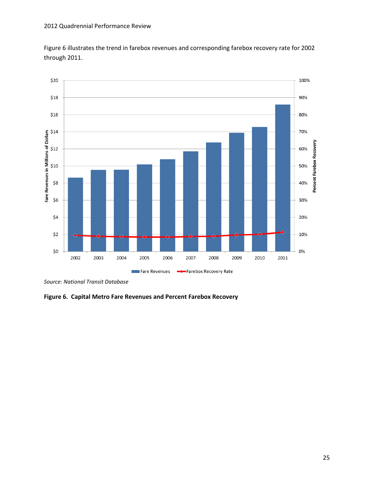[Figure 6](#page-28-0) illustrates the trend in farebox revenues and corresponding farebox recovery rate for 2002 through 2011.



*Source: National Transit Database*

<span id="page-28-0"></span>**Figure 6. Capital Metro Fare Revenues and Percent Farebox Recovery**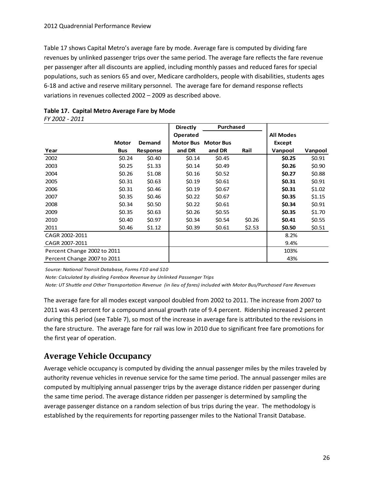[Table 17](#page-29-1) shows Capital Metro's average fare by mode. Average fare is computed by dividing fare revenues by unlinked passenger trips over the same period. The average fare reflects the fare revenue per passenger after all discounts are applied, including monthly passes and reduced fares for special populations, such as seniors 65 and over, Medicare cardholders, people with disabilities, students ages 6-18 and active and reserve military personnel. The average fare for demand response reflects variations in revenues collected 2002 – 2009 as described above.

|                             |              |          | <b>Directly</b>  | Purchased        |        |                  |         |
|-----------------------------|--------------|----------|------------------|------------------|--------|------------------|---------|
|                             |              |          | Operated         |                  |        | <b>All Modes</b> |         |
|                             | <b>Motor</b> | Demand   | <b>Motor Bus</b> | <b>Motor Bus</b> |        | <b>Except</b>    |         |
| Year                        | <b>Bus</b>   | Response | and DR           | and DR           | Rail   | Vanpool          | Vanpool |
| 2002                        | \$0.24       | \$0.40   | \$0.14           | \$0.45           |        | \$0.25           | \$0.91  |
| 2003                        | \$0.25       | \$1.33   | \$0.14           | \$0.49           |        | \$0.26           | \$0.90  |
| 2004                        | \$0.26       | \$1.08   | \$0.16           | \$0.52           |        | \$0.27           | \$0.88  |
| 2005                        | \$0.31       | \$0.63   | \$0.19           | \$0.61           |        | \$0.31           | \$0.91  |
| 2006                        | \$0.31       | \$0.46   | \$0.19           | \$0.67           |        | \$0.31           | \$1.02  |
| 2007                        | \$0.35       | \$0.46   | \$0.22           | \$0.67           |        | \$0.35           | \$1.15  |
| 2008                        | \$0.34       | \$0.50   | \$0.22           | \$0.61           |        | \$0.34           | \$0.91  |
| 2009                        | \$0.35       | \$0.63   | \$0.26           | \$0.55           |        | \$0.35           | \$1.70  |
| 2010                        | \$0.40       | \$0.97   | \$0.34           | \$0.54           | \$0.26 | \$0.41           | \$0.55  |
| 2011                        | \$0.46       | \$1.12   | \$0.39           | \$0.61           | \$2.53 | \$0.50           | \$0.51  |
| CAGR 2002-2011              |              |          |                  |                  |        | 8.2%             |         |
| CAGR 2007-2011              |              |          |                  |                  |        | 9.4%             |         |
| Percent Change 2002 to 2011 |              |          |                  |                  |        | 103%             |         |
| Percent Change 2007 to 2011 |              |          |                  |                  |        | 43%              |         |

<span id="page-29-1"></span>

| Table 17. Capital Metro Average Fare by Mode |  |  |  |
|----------------------------------------------|--|--|--|
| FY 2002 - 2011                               |  |  |  |

*Source: National Transit Database, Forms F10 and S10*

*Note: Calculated by dividing Farebox Revenue by Unlinked Passenger Trips*

*Note: UT Shuttle and Other Transportation Revenue (in lieu of fares) included with Motor Bus/Purchased Fare Revenues*

The average fare for all modes except vanpool doubled from 2002 to 2011. The increase from 2007 to 2011 was 43 percent for a compound annual growth rate of 9.4 percent. Ridership increased 2 percent during this period (see [Table 7\)](#page-16-0), so most of the increase in average fare is attributed to the revisions in the fare structure. The average fare for rail was low in 2010 due to significant free fare promotions for the first year of operation.

### <span id="page-29-0"></span>**Average Vehicle Occupancy**

Average vehicle occupancy is computed by dividing the annual passenger miles by the miles traveled by authority revenue vehicles in revenue service for the same time period. The annual passenger miles are computed by multiplying annual passenger trips by the average distance ridden per passenger during the same time period. The average distance ridden per passenger is determined by sampling the average passenger distance on a random selection of bus trips during the year. The methodology is established by the requirements for reporting passenger miles to the National Transit Database.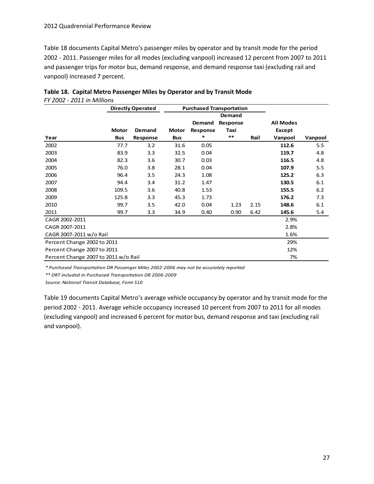[Table 18](#page-30-0) documents Capital Metro's passenger miles by operator and by transit mode for the period 2002 - 2011. Passenger miles for all modes (excluding vanpool) increased 12 percent from 2007 to 2011 and passenger trips for motor bus, demand response, and demand response taxi (excluding rail and vanpool) increased 7 percent.

|                                      |              | <b>Directly Operated</b> |              | <b>Purchased Transportation</b> |          |      |                  |         |
|--------------------------------------|--------------|--------------------------|--------------|---------------------------------|----------|------|------------------|---------|
|                                      |              |                          |              |                                 | Demand   |      |                  |         |
|                                      |              |                          |              | Demand                          | Response |      | <b>All Modes</b> |         |
|                                      | <b>Motor</b> | <b>Demand</b>            | <b>Motor</b> | Response                        | Taxi     |      | Except           |         |
| Year                                 | <b>Bus</b>   | Response                 | <b>Bus</b>   | *                               | $***$    | Rail | Vanpool          | Vanpool |
| 2002                                 | 77.7         | 3.2                      | 31.6         | 0.05                            |          |      | 112.6            | 5.5     |
| 2003                                 | 83.9         | 3.3                      | 32.5         | 0.04                            |          |      | 119.7            | 4.8     |
| 2004                                 | 82.3         | 3.6                      | 30.7         | 0.03                            |          |      | 116.5            | 4.8     |
| 2005                                 | 76.0         | 3.8                      | 28.1         | 0.04                            |          |      | 107.9            | 5.5     |
| 2006                                 | 96.4         | 3.5                      | 24.3         | 1.08                            |          |      | 125.2            | 6.3     |
| 2007                                 | 94.4         | 3.4                      | 31.2         | 1.47                            |          |      | 130.5            | 6.1     |
| 2008                                 | 109.5        | 3.6                      | 40.8         | 1.53                            |          |      | 155.5            | 6.2     |
| 2009                                 | 125.8        | 3.3                      | 45.3         | 1.73                            |          |      | 176.2            | 7.3     |
| 2010                                 | 99.7         | 3.5                      | 42.0         | 0.04                            | 1.23     | 2.15 | 148.6            | 6.1     |
| 2011                                 | 99.7         | 3.3                      | 34.9         | 0.40                            | 0.90     | 6.42 | 145.6            | 5.4     |
| CAGR 2002-2011                       |              |                          |              |                                 |          |      | 2.9%             |         |
| CAGR 2007-2011                       |              |                          |              |                                 |          |      | 2.8%             |         |
| CAGR 2007-2011 w/o Rail              |              |                          |              |                                 |          |      | 1.6%             |         |
| Percent Change 2002 to 2011          |              |                          |              |                                 |          |      | 29%              |         |
| Percent Change 2007 to 2011          |              |                          |              |                                 |          |      | 12%              |         |
| Percent Change 2007 to 2011 w/o Rail |              |                          |              |                                 |          |      | 7%               |         |

<span id="page-30-0"></span>

| Table 18. Capital Metro Passenger Miles by Operator and by Transit Mode |
|-------------------------------------------------------------------------|
| FY 2002 - 2011 in Millions                                              |

*\* Purchased Transportation DR Passenger Miles 2002-2006 may not be accurately reported*

*\*\* DRT included in Purchased Transportation DR 2006-2009*

*Source: National Transit Database, Form S10*

[Table 19](#page-31-1) documents Capital Metro's average vehicle occupancy by operator and by transit mode for the period 2002 - 2011. Average vehicle occupancy increased 10 percent from 2007 to 2011 for all modes (excluding vanpool) and increased 6 percent for motor bus, demand response and taxi (excluding rail and vanpool).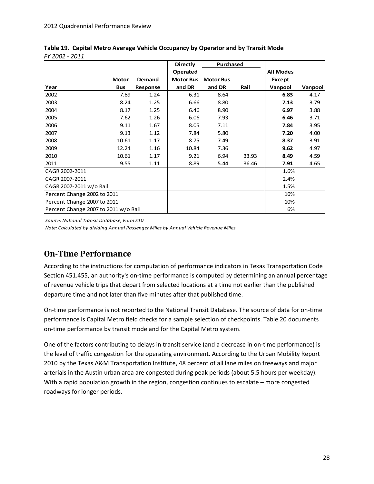|                                      |              |                 | <b>Directly</b>  | Purchased        |       |                  |         |
|--------------------------------------|--------------|-----------------|------------------|------------------|-------|------------------|---------|
|                                      |              |                 | Operated         |                  |       | <b>All Modes</b> |         |
|                                      | <b>Motor</b> | Demand          | <b>Motor Bus</b> | <b>Motor Bus</b> |       | Except           |         |
| Year                                 | <b>Bus</b>   | <b>Response</b> | and DR           | and DR           | Rail  | Vanpool          | Vanpool |
| 2002                                 | 7.89         | 1.24            | 6.31             | 8.64             |       | 6.83             | 4.17    |
| 2003                                 | 8.24         | 1.25            | 6.66             | 8.80             |       | 7.13             | 3.79    |
| 2004                                 | 8.17         | 1.25            | 6.46             | 8.90             |       | 6.97             | 3.88    |
| 2005                                 | 7.62         | 1.26            | 6.06             | 7.93             |       | 6.46             | 3.71    |
| 2006                                 | 9.11         | 1.67            | 8.05             | 7.11             |       | 7.84             | 3.95    |
| 2007                                 | 9.13         | 1.12            | 7.84             | 5.80             |       | 7.20             | 4.00    |
| 2008                                 | 10.61        | 1.17            | 8.75             | 7.49             |       | 8.37             | 3.91    |
| 2009                                 | 12.24        | 1.16            | 10.84            | 7.36             |       | 9.62             | 4.97    |
| 2010                                 | 10.61        | 1.17            | 9.21             | 6.94             | 33.93 | 8.49             | 4.59    |
| 2011                                 | 9.55         | 1.11            | 8.89             | 5.44             | 36.46 | 7.91             | 4.65    |
| CAGR 2002-2011                       |              |                 |                  |                  |       | 1.6%             |         |
| CAGR 2007-2011                       |              |                 |                  |                  |       | 2.4%             |         |
| CAGR 2007-2011 w/o Rail              |              |                 |                  |                  |       | 1.5%             |         |
| Percent Change 2002 to 2011          |              |                 |                  |                  |       | 16%              |         |
| Percent Change 2007 to 2011          |              |                 |                  |                  |       | 10%              |         |
| Percent Change 2007 to 2011 w/o Rail |              |                 |                  |                  |       | 6%               |         |

<span id="page-31-1"></span>**Table 19. Capital Metro Average Vehicle Occupancy by Operator and by Transit Mode** *FY 2002 - 2011* 

*Source: National Transit Database, Form S10*

*Note: Calculated by dividing Annual Passenger Miles by Annual Vehicle Revenue Miles*

### <span id="page-31-0"></span>**On-Time Performance**

According to the instructions for computation of performance indicators in Texas Transportation Code Section 451.455, an authority's on-time performance is computed by determining an annual percentage of revenue vehicle trips that depart from selected locations at a time not earlier than the published departure time and not later than five minutes after that published time.

On-time performance is not reported to the National Transit Database. The source of data for on-time performance is Capital Metro field checks for a sample selection of checkpoints. [Table 20](#page-32-1) documents on-time performance by transit mode and for the Capital Metro system.

One of the factors contributing to delays in transit service (and a decrease in on-time performance) is the level of traffic congestion for the operating environment. According to the Urban Mobility Report 2010 by the Texas A&M Transportation Institute, 48 percent of all lane miles on freeways and major arterials in the Austin urban area are congested during peak periods (about 5.5 hours per weekday). With a rapid population growth in the region, congestion continues to escalate – more congested roadways for longer periods.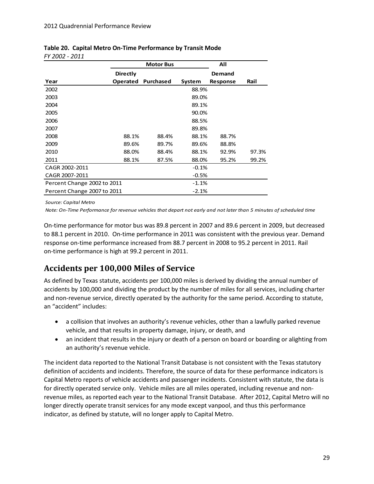|                             |                 | <b>Motor Bus</b> |         | All      |       |
|-----------------------------|-----------------|------------------|---------|----------|-------|
|                             | Directly        |                  |         | Demand   |       |
| Year                        | <b>Operated</b> | Purchased        | System  | Response | Rail  |
| 2002                        |                 |                  | 88.9%   |          |       |
| 2003                        |                 |                  | 89.0%   |          |       |
| 2004                        |                 |                  | 89.1%   |          |       |
| 2005                        |                 |                  | 90.0%   |          |       |
| 2006                        |                 |                  | 88.5%   |          |       |
| 2007                        |                 |                  | 89.8%   |          |       |
| 2008                        | 88.1%           | 88.4%            | 88.1%   | 88.7%    |       |
| 2009                        | 89.6%           | 89.7%            | 89.6%   | 88.8%    |       |
| 2010                        | 88.0%           | 88.4%            | 88.1%   | 92.9%    | 97.3% |
| 2011                        | 88.1%           | 87.5%            | 88.0%   | 95.2%    | 99.2% |
| CAGR 2002-2011              |                 |                  | $-0.1%$ |          |       |
| CAGR 2007-2011              |                 |                  | $-0.5%$ |          |       |
| Percent Change 2002 to 2011 |                 |                  | $-1.1%$ |          |       |
| Percent Change 2007 to 2011 |                 |                  | $-2.1%$ |          |       |

#### <span id="page-32-1"></span>**Table 20. Capital Metro On-Time Performance by Transit Mode** *FY 2002 - 2011*

*Source: Capital Metro*

*Note: On-Time Performance for revenue vehicles that depart not early and not later than 5 minutes of scheduled time*

On-time performance for motor bus was 89.8 percent in 2007 and 89.6 percent in 2009, but decreased to 88.1 percent in 2010. On-time performance in 2011 was consistent with the previous year. Demand response on-time performance increased from 88.7 percent in 2008 to 95.2 percent in 2011. Rail on-time performance is high at 99.2 percent in 2011.

### <span id="page-32-0"></span>**Accidents per 100,000 Miles of Service**

As defined by Texas statute, accidents per 100,000 miles is derived by dividing the annual number of accidents by 100,000 and dividing the product by the number of miles for all services, including charter and non-revenue service, directly operated by the authority for the same period. According to statute, an "accident" includes:

- a collision that involves an authority's revenue vehicles, other than a lawfully parked revenue vehicle, and that results in property damage, injury, or death, and
- an incident that results in the injury or death of a person on board or boarding or alighting from an authority's revenue vehicle.

The incident data reported to the National Transit Database is not consistent with the Texas statutory definition of accidents and incidents. Therefore, the source of data for these performance indicators is Capital Metro reports of vehicle accidents and passenger incidents. Consistent with statute, the data is for directly operated service only. Vehicle miles are all miles operated, including revenue and nonrevenue miles, as reported each year to the National Transit Database. After 2012, Capital Metro will no longer directly operate transit services for any mode except vanpool, and thus this performance indicator, as defined by statute, will no longer apply to Capital Metro.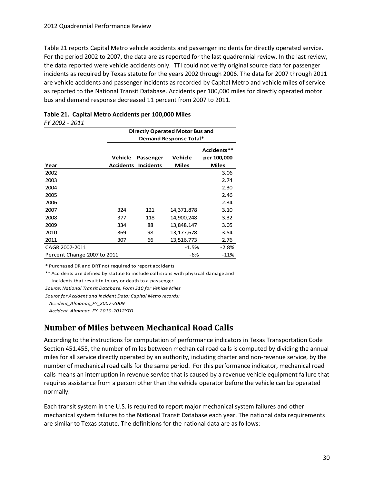[Table 21](#page-33-1) reports Capital Metro vehicle accidents and passenger incidents for directly operated service. For the period 2002 to 2007, the data are as reported for the last quadrennial review. In the last review, the data reported were vehicle accidents only. TTI could not verify original source data for passenger incidents as required by Texas statute for the years 2002 through 2006. The data for 2007 through 2011 are vehicle accidents and passenger incidents as recorded by Capital Metro and vehicle miles of service as reported to the National Transit Database. Accidents per 100,000 miles for directly operated motor bus and demand response decreased 11 percent from 2007 to 2011.

| 11 ZUUZ - ZUII              |                             |                               |                                        |                                            |
|-----------------------------|-----------------------------|-------------------------------|----------------------------------------|--------------------------------------------|
|                             |                             |                               | <b>Directly Operated Motor Bus and</b> |                                            |
|                             | Demand Response Total*      |                               |                                        |                                            |
| Year                        | Vehicle<br><b>Accidents</b> | Passenger<br><b>Incidents</b> | Vehicle<br><b>Miles</b>                | Accidents**<br>per 100,000<br><b>Miles</b> |
| 2002                        |                             |                               |                                        | 3.06                                       |
| 2003                        |                             |                               |                                        | 2.74                                       |
| 2004                        |                             |                               |                                        | 2.30                                       |
| 2005                        |                             |                               |                                        | 2.46                                       |
| 2006                        |                             |                               |                                        | 2.34                                       |
| 2007                        | 324                         | 121                           | 14,371,878                             | 3.10                                       |
| 2008                        | 377                         | 118                           | 14,900,248                             | 3.32                                       |
| 2009                        | 334                         | 88                            | 13,848,147                             | 3.05                                       |
| 2010                        | 369                         | 98                            | 13,177,678                             | 3.54                                       |
| 2011                        | 307                         | 66                            | 13,516,773                             | 2.76                                       |
| CAGR 2007-2011              |                             |                               | $-1.5%$                                | -2.8%                                      |
| Percent Change 2007 to 2011 |                             |                               | -6%                                    | $-11%$                                     |

#### <span id="page-33-1"></span>**Table 21. Capital Metro Accidents per 100,000 Miles** *FY 2002 - 2011*

\* Purchased DR and DRT not required to report accidents

\*\* Accidents are defined by statute to include collisions with physical damage and incidents that result in injury or death to a passenger

*Source: National Transit Database, Form S10 for Vehicle Miles*

*Source for Accident and Incident Data: Capital Metro records:*

 *Accident\_Almanac\_FY\_2007-2009 Accident\_Almanac\_FY\_2010-2012YTD*

### <span id="page-33-0"></span>**Number of Miles between Mechanical Road Calls**

According to the instructions for computation of performance indicators in Texas Transportation Code Section 451.455, the number of miles between mechanical road calls is computed by dividing the annual miles for all service directly operated by an authority, including charter and non-revenue service, by the number of mechanical road calls for the same period. For this performance indicator, mechanical road calls means an interruption in revenue service that is caused by a revenue vehicle equipment failure that requires assistance from a person other than the vehicle operator before the vehicle can be operated normally.

Each transit system in the U.S. is required to report major mechanical system failures and other mechanical system failures to the National Transit Database each year. The national data requirements are similar to Texas statute. The definitions for the national data are as follows: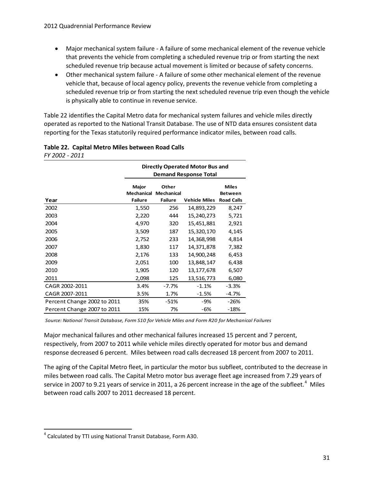- Major mechanical system failure A failure of some mechanical element of the revenue vehicle that prevents the vehicle from completing a scheduled revenue trip or from starting the next scheduled revenue trip because actual movement is limited or because of safety concerns.
- Other mechanical system failure A failure of some other mechanical element of the revenue vehicle that, because of local agency policy, prevents the revenue vehicle from completing a scheduled revenue trip or from starting the next scheduled revenue trip even though the vehicle is physically able to continue in revenue service.

[Table 22](#page-34-0) identifies the Capital Metro data for mechanical system failures and vehicle miles directly operated as reported to the National Transit Database. The use of NTD data ensures consistent data reporting for the Texas statutorily required performance indicator miles, between road calls.

| <b>Directly Operated Motor Bus and</b><br><b>Demand Response Total</b> |                                       |                      |                                                     |
|------------------------------------------------------------------------|---------------------------------------|----------------------|-----------------------------------------------------|
| Major<br><b>Failure</b>                                                | Other<br>Mechanical<br><b>Failure</b> | <b>Vehicle Miles</b> | <b>Miles</b><br><b>Between</b><br><b>Road Calls</b> |
| 1,550                                                                  | 256                                   | 14,893,229           | 8,247                                               |
| 2,220                                                                  | 444                                   | 15,240,273           | 5,721                                               |
| 4,970                                                                  | 320                                   | 15,451,881           | 2,921                                               |
| 3,509                                                                  | 187                                   | 15,320,170           | 4,145                                               |
| 2,752                                                                  | 233                                   | 14,368,998           | 4,814                                               |
| 1,830                                                                  | 117                                   | 14,371,878           | 7,382                                               |
| 2,176                                                                  | 133                                   | 14,900,248           | 6,453                                               |
| 2,051                                                                  | 100                                   | 13,848,147           | 6,438                                               |
| 1,905                                                                  | 120                                   | 13,177,678           | 6,507                                               |
| 2,098                                                                  | 125                                   | 13,516,773           | 6,080                                               |
| 3.4%                                                                   | -7.7%                                 | $-1.1\%$             | $-3.3%$                                             |
| 3.5%                                                                   | 1.7%                                  | $-1.5%$              | -4.7%                                               |
| 35%                                                                    | $-51%$                                | -9%                  | $-26%$                                              |
| 15%                                                                    | 7%                                    | -6%                  | $-18%$                                              |
|                                                                        |                                       | Mechanical           |                                                     |

#### <span id="page-34-0"></span>**Table 22. Capital Metro Miles between Road Calls** *FY 2002 - 2011*

*Source: National Transit Database, Form S10 for Vehicle Miles and Form R20 for Mechanical Failures*

Major mechanical failures and other mechanical failures increased 15 percent and 7 percent, respectively, from 2007 to 2011 while vehicle miles directly operated for motor bus and demand response decreased 6 percent. Miles between road calls decreased 18 percent from 2007 to 2011.

The aging of the Capital Metro fleet, in particular the motor bus subfleet, contributed to the decrease in miles between road calls. The Capital Metro motor bus average fleet age increased from 7.29 years of service in 2007 to 9.21 years of service in 2011, a 26 percent increase in the age of the subfleet.<sup>[4](#page-34-1)</sup> Miles between road calls 2007 to 2011 decreased 18 percent.

<span id="page-34-1"></span><sup>&</sup>lt;sup>4</sup> Calculated by TTI using National Transit Database, Form A30.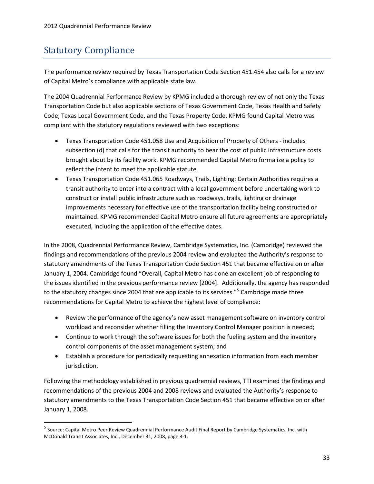# <span id="page-36-0"></span>Statutory Compliance

The performance review required by Texas Transportation Code Section 451.454 also calls for a review of Capital Metro's compliance with applicable state law.

The 2004 Quadrennial Performance Review by KPMG included a thorough review of not only the Texas Transportation Code but also applicable sections of Texas Government Code, Texas Health and Safety Code, Texas Local Government Code, and the Texas Property Code. KPMG found Capital Metro was compliant with the statutory regulations reviewed with two exceptions:

- Texas Transportation Code 451.058 Use and Acquisition of Property of Others includes subsection (d) that calls for the transit authority to bear the cost of public infrastructure costs brought about by its facility work. KPMG recommended Capital Metro formalize a policy to reflect the intent to meet the applicable statute.
- Texas Transportation Code 451.065 Roadways, Trails, Lighting: Certain Authorities requires a transit authority to enter into a contract with a local government before undertaking work to construct or install public infrastructure such as roadways, trails, lighting or drainage improvements necessary for effective use of the transportation facility being constructed or maintained. KPMG recommended Capital Metro ensure all future agreements are appropriately executed, including the application of the effective dates.

In the 2008, Quadrennial Performance Review, Cambridge Systematics, Inc. (Cambridge) reviewed the findings and recommendations of the previous 2004 review and evaluated the Authority's response to statutory amendments of the Texas Transportation Code Section 451 that became effective on or after January 1, 2004. Cambridge found "Overall, Capital Metro has done an excellent job of responding to the issues identified in the previous performance review [2004]. Additionally, the agency has responded to the statutory changes since 2004 that are applicable to its services."<sup>[5](#page-36-1)</sup> Cambridge made three recommendations for Capital Metro to achieve the highest level of compliance:

- Review the performance of the agency's new asset management software on inventory control workload and reconsider whether filling the Inventory Control Manager position is needed;
- Continue to work through the software issues for both the fueling system and the inventory control components of the asset management system; and
- Establish a procedure for periodically requesting annexation information from each member jurisdiction.

Following the methodology established in previous quadrennial reviews, TTI examined the findings and recommendations of the previous 2004 and 2008 reviews and evaluated the Authority's response to statutory amendments to the Texas Transportation Code Section 451 that became effective on or after January 1, 2008.

<span id="page-36-1"></span> <sup>5</sup> Source: Capital Metro Peer Review Quadrennial Performance Audit Final Report by Cambridge Systematics, Inc. with McDonald Transit Associates, Inc., December 31, 2008, page 3-1.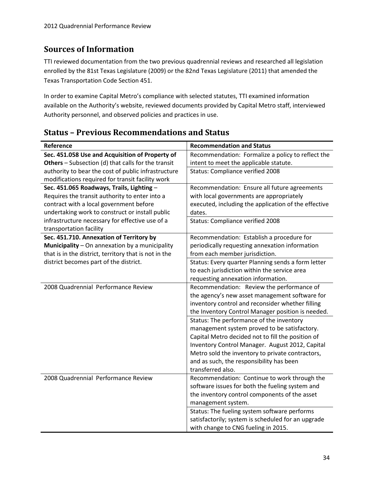### <span id="page-37-0"></span>**Sources of Information**

TTI reviewed documentation from the two previous quadrennial reviews and researched all legislation enrolled by the 81st Texas Legislature (2009) or the 82nd Texas Legislature (2011) that amended the Texas Transportation Code Section 451.

In order to examine Capital Metro's compliance with selected statutes, TTI examined information available on the Authority's website, reviewed documents provided by Capital Metro staff, interviewed Authority personnel, and observed policies and practices in use.

| Reference                                                 | <b>Recommendation and Status</b>                     |
|-----------------------------------------------------------|------------------------------------------------------|
| Sec. 451.058 Use and Acquisition of Property of           | Recommendation: Formalize a policy to reflect the    |
| <b>Others</b> – Subsection (d) that calls for the transit | intent to meet the applicable statute.               |
| authority to bear the cost of public infrastructure       | Status: Compliance verified 2008                     |
| modifications required for transit facility work          |                                                      |
| Sec. 451.065 Roadways, Trails, Lighting -                 | Recommendation: Ensure all future agreements         |
| Requires the transit authority to enter into a            | with local governments are appropriately             |
| contract with a local government before                   | executed, including the application of the effective |
| undertaking work to construct or install public           | dates.                                               |
| infrastructure necessary for effective use of a           | Status: Compliance verified 2008                     |
| transportation facility                                   |                                                      |
| Sec. 451.710. Annexation of Territory by                  | Recommendation: Establish a procedure for            |
| Municipality - On annexation by a municipality            | periodically requesting annexation information       |
| that is in the district, territory that is not in the     | from each member jurisdiction.                       |
| district becomes part of the district.                    | Status: Every quarter Planning sends a form letter   |
|                                                           | to each jurisdiction within the service area         |
|                                                           | requesting annexation information.                   |
| 2008 Quadrennial Performance Review                       | Recommendation: Review the performance of            |
|                                                           | the agency's new asset management software for       |
|                                                           | inventory control and reconsider whether filling     |
|                                                           | the Inventory Control Manager position is needed.    |
|                                                           | Status: The performance of the inventory             |
|                                                           | management system proved to be satisfactory.         |
|                                                           | Capital Metro decided not to fill the position of    |
|                                                           | Inventory Control Manager. August 2012, Capital      |
|                                                           | Metro sold the inventory to private contractors,     |
|                                                           | and as such, the responsibility has been             |
|                                                           | transferred also.                                    |
| 2008 Quadrennial Performance Review                       | Recommendation: Continue to work through the         |
|                                                           | software issues for both the fueling system and      |
|                                                           | the inventory control components of the asset        |
|                                                           | management system.                                   |
|                                                           | Status: The fueling system software performs         |
|                                                           | satisfactorily; system is scheduled for an upgrade   |
|                                                           | with change to CNG fueling in 2015.                  |

### <span id="page-37-1"></span>**Status – Previous Recommendations and Status**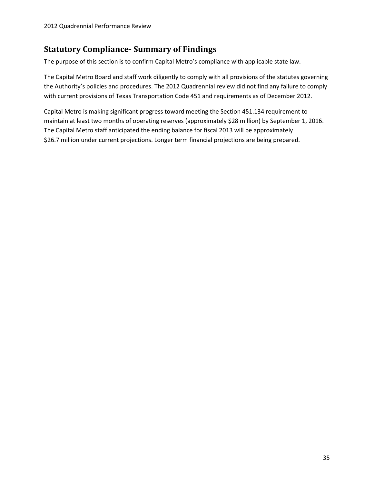### <span id="page-38-0"></span>**Statutory Compliance- Summary of Findings**

The purpose of this section is to confirm Capital Metro's compliance with applicable state law.

The Capital Metro Board and staff work diligently to comply with all provisions of the statutes governing the Authority's policies and procedures. The 2012 Quadrennial review did not find any failure to comply with current provisions of Texas Transportation Code 451 and requirements as of December 2012.

Capital Metro is making significant progress toward meeting the Section 451.134 requirement to maintain at least two months of operating reserves (approximately \$28 million) by September 1, 2016. The Capital Metro staff anticipated the ending balance for fiscal 2013 will be approximately \$26.7 million under current projections. Longer term financial projections are being prepared.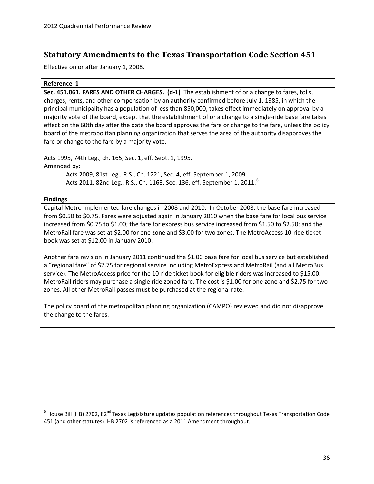### <span id="page-39-0"></span>**Statutory Amendments to the Texas Transportation Code Section 451**

Effective on or after January 1, 2008.

#### **Reference 1**

**Sec. 451.061. FARES AND OTHER CHARGES. (d-1)** The establishment of or a change to fares, tolls, charges, rents, and other compensation by an authority confirmed before July 1, 1985, in which the principal municipality has a population of less than 850,000, takes effect immediately on approval by a majority vote of the board, except that the establishment of or a change to a single-ride base fare takes effect on the 60th day after the date the board approves the fare or change to the fare, unless the policy board of the metropolitan planning organization that serves the area of the authority disapproves the fare or change to the fare by a majority vote.

Acts 1995, 74th Leg., ch. 165, Sec. 1, eff. Sept. 1, 1995. Amended by: Acts 2009, 81st Leg., R.S., Ch. 1221, Sec. 4, eff. September 1, 2009. Acts 2011, 82nd Leg., R.S., Ch. 11[6](#page-39-1)3, Sec. 136, eff. September 1, 2011.<sup>6</sup>

#### **Findings**

Capital Metro implemented fare changes in 2008 and 2010. In October 2008, the base fare increased from \$0.50 to \$0.75. Fares were adjusted again in January 2010 when the base fare for local bus service increased from \$0.75 to \$1.00; the fare for express bus service increased from \$1.50 to \$2.50; and the MetroRail fare was set at \$2.00 for one zone and \$3.00 for two zones. The MetroAccess 10-ride ticket book was set at \$12.00 in January 2010.

Another fare revision in January 2011 continued the \$1.00 base fare for local bus service but established a "regional fare" of \$2.75 for regional service including MetroExpress and MetroRail (and all MetroBus service). The MetroAccess price for the 10-ride ticket book for eligible riders was increased to \$15.00. MetroRail riders may purchase a single ride zoned fare. The cost is \$1.00 for one zone and \$2.75 for two zones. All other MetroRail passes must be purchased at the regional rate.

The policy board of the metropolitan planning organization (CAMPO) reviewed and did not disapprove the change to the fares.

<span id="page-39-1"></span> $6$  House Bill (HB) 2702, 82<sup>nd</sup> Texas Legislature updates population references throughout Texas Transportation Code 451 (and other statutes). HB 2702 is referenced as a 2011 Amendment throughout.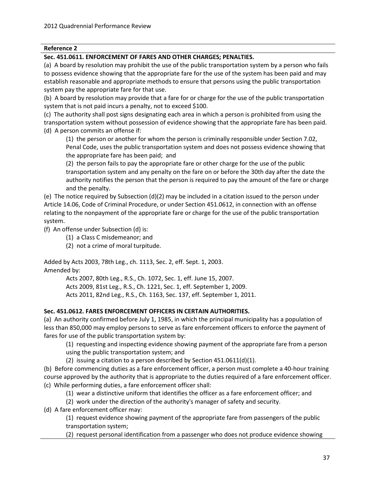#### **Sec. 451.0611. ENFORCEMENT OF FARES AND OTHER CHARGES; PENALTIES.**

(a) A board by resolution may prohibit the use of the public transportation system by a person who fails to possess evidence showing that the appropriate fare for the use of the system has been paid and may establish reasonable and appropriate methods to ensure that persons using the public transportation system pay the appropriate fare for that use.

(b) A board by resolution may provide that a fare for or charge for the use of the public transportation system that is not paid incurs a penalty, not to exceed \$100.

(c) The authority shall post signs designating each area in which a person is prohibited from using the transportation system without possession of evidence showing that the appropriate fare has been paid. (d) A person commits an offense if:

(1) the person or another for whom the person is criminally responsible under Section 7.02, Penal Code, uses the public transportation system and does not possess evidence showing that the appropriate fare has been paid; and

(2) the person fails to pay the appropriate fare or other charge for the use of the public transportation system and any penalty on the fare on or before the 30th day after the date the authority notifies the person that the person is required to pay the amount of the fare or charge and the penalty.

(e) The notice required by Subsection (d)(2) may be included in a citation issued to the person under Article 14.06, Code of Criminal Procedure, or under Section 451.0612, in connection with an offense relating to the nonpayment of the appropriate fare or charge for the use of the public transportation system.

(f) An offense under Subsection (d) is:

(1) a Class C misdemeanor; and

(2) not a crime of moral turpitude.

Added by Acts 2003, 78th Leg., ch. 1113, Sec. 2, eff. Sept. 1, 2003. Amended by:

> Acts 2007, 80th Leg., R.S., Ch. 1072, Sec. 1, eff. June 15, 2007. Acts 2009, 81st Leg., R.S., Ch. 1221, Sec. 1, eff. September 1, 2009. Acts 2011, 82nd Leg., R.S., Ch. 1163, Sec. 137, eff. September 1, 2011.

#### **Sec. 451.0612. FARES ENFORCEMENT OFFICERS IN CERTAIN AUTHORITIES.**

(a) An authority confirmed before July 1, 1985, in which the principal municipality has a population of less than 850,000 may employ persons to serve as fare enforcement officers to enforce the payment of fares for use of the public transportation system by:

(1) requesting and inspecting evidence showing payment of the appropriate fare from a person using the public transportation system; and

(2) issuing a citation to a person described by Section 451.0611(d)(1).

(b) Before commencing duties as a fare enforcement officer, a person must complete a 40-hour training course approved by the authority that is appropriate to the duties required of a fare enforcement officer. (c) While performing duties, a fare enforcement officer shall:

(1) wear a distinctive uniform that identifies the officer as a fare enforcement officer; and

(2) work under the direction of the authority's manager of safety and security.

(d) A fare enforcement officer may:

(1) request evidence showing payment of the appropriate fare from passengers of the public transportation system;

(2) request personal identification from a passenger who does not produce evidence showing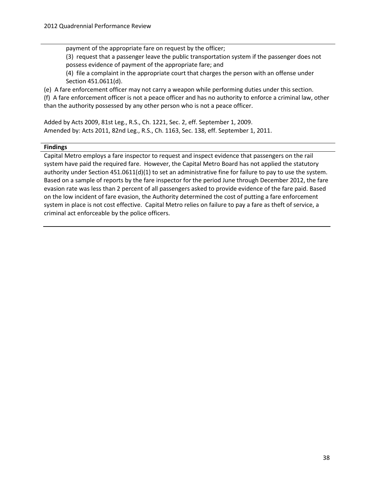payment of the appropriate fare on request by the officer;

(3) request that a passenger leave the public transportation system if the passenger does not possess evidence of payment of the appropriate fare; and

(4) file a complaint in the appropriate court that charges the person with an offense under Section 451.0611(d).

(e) A fare enforcement officer may not carry a weapon while performing duties under this section.

(f) A fare enforcement officer is not a peace officer and has no authority to enforce a criminal law, other than the authority possessed by any other person who is not a peace officer.

Added by Acts 2009, 81st Leg., R.S., Ch. 1221, Sec. 2, eff. September 1, 2009. Amended by: Acts 2011, 82nd Leg., R.S., Ch. 1163, Sec. 138, eff. September 1, 2011.

#### **Findings**

Capital Metro employs a fare inspector to request and inspect evidence that passengers on the rail system have paid the required fare. However, the Capital Metro Board has not applied the statutory authority under Section 451.0611(d)(1) to set an administrative fine for failure to pay to use the system. Based on a sample of reports by the fare inspector for the period June through December 2012, the fare evasion rate was less than 2 percent of all passengers asked to provide evidence of the fare paid. Based on the low incident of fare evasion, the Authority determined the cost of putting a fare enforcement system in place is not cost effective. Capital Metro relies on failure to pay a fare as theft of service, a criminal act enforceable by the police officers.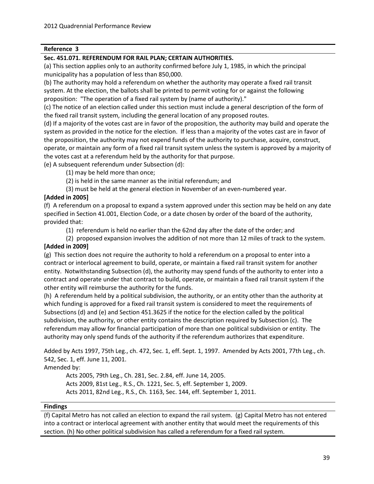#### **Sec. 451.071. REFERENDUM FOR RAIL PLAN; CERTAIN AUTHORITIES.**

(a) This section applies only to an authority confirmed before July 1, 1985, in which the principal municipality has a population of less than 850,000.

(b) The authority may hold a referendum on whether the authority may operate a fixed rail transit system. At the election, the ballots shall be printed to permit voting for or against the following proposition: "The operation of a fixed rail system by (name of authority)."

(c) The notice of an election called under this section must include a general description of the form of the fixed rail transit system, including the general location of any proposed routes.

(d) If a majority of the votes cast are in favor of the proposition, the authority may build and operate the system as provided in the notice for the election. If less than a majority of the votes cast are in favor of the proposition, the authority may not expend funds of the authority to purchase, acquire, construct, operate, or maintain any form of a fixed rail transit system unless the system is approved by a majority of the votes cast at a referendum held by the authority for that purpose.

(e) A subsequent referendum under Subsection (d):

(1) may be held more than once;

(2) is held in the same manner as the initial referendum; and

(3) must be held at the general election in November of an even-numbered year.

#### **[Added in 2005]**

(f) A referendum on a proposal to expand a system approved under this section may be held on any date specified in Section 41.001, Election Code, or a date chosen by order of the board of the authority, provided that:

(1) referendum is held no earlier than the 62nd day after the date of the order; and

(2) proposed expansion involves the addition of not more than 12 miles of track to the system. **[Added in 2009]**

(g) This section does not require the authority to hold a referendum on a proposal to enter into a contract or interlocal agreement to build, operate, or maintain a fixed rail transit system for another entity. Notwithstanding Subsection (d), the authority may spend funds of the authority to enter into a contract and operate under that contract to build, operate, or maintain a fixed rail transit system if the other entity will reimburse the authority for the funds.

(h) A referendum held by a political subdivision, the authority, or an entity other than the authority at which funding is approved for a fixed rail transit system is considered to meet the requirements of Subsections (d) and (e) and Section 451.3625 if the notice for the election called by the political subdivision, the authority, or other entity contains the description required by Subsection (c). The referendum may allow for financial participation of more than one political subdivision or entity. The authority may only spend funds of the authority if the referendum authorizes that expenditure.

Added by Acts 1997, 75th Leg., ch. 472, Sec. 1, eff. Sept. 1, 1997. Amended by Acts 2001, 77th Leg., ch. 542, Sec. 1, eff. June 11, 2001.

Amended by:

Acts 2005, 79th Leg., Ch. 281, Sec. 2.84, eff. June 14, 2005. Acts 2009, 81st Leg., R.S., Ch. 1221, Sec. 5, eff. September 1, 2009. Acts 2011, 82nd Leg., R.S., Ch. 1163, Sec. 144, eff. September 1, 2011.

#### **Findings**

(f) Capital Metro has not called an election to expand the rail system. (g) Capital Metro has not entered into a contract or interlocal agreement with another entity that would meet the requirements of this section. (h) No other political subdivision has called a referendum for a fixed rail system.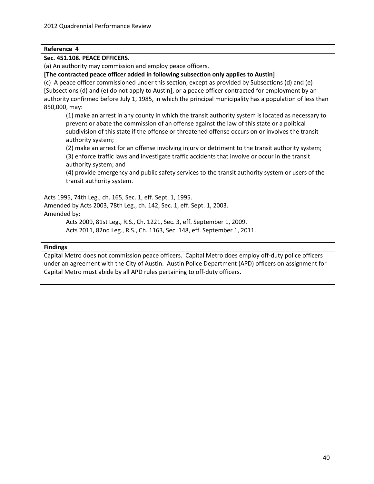#### **Sec. 451.108. PEACE OFFICERS.**

(a) An authority may commission and employ peace officers.

**[The contracted peace officer added in following subsection only applies to Austin]**

(c) A peace officer commissioned under this section, except as provided by Subsections (d) and (e) [Subsections (d) and (e) do not apply to Austin], or a peace officer contracted for employment by an authority confirmed before July 1, 1985, in which the principal municipality has a population of less than 850,000, may:

(1) make an arrest in any county in which the transit authority system is located as necessary to prevent or abate the commission of an offense against the law of this state or a political subdivision of this state if the offense or threatened offense occurs on or involves the transit authority system;

(2) make an arrest for an offense involving injury or detriment to the transit authority system; (3) enforce traffic laws and investigate traffic accidents that involve or occur in the transit authority system; and

(4) provide emergency and public safety services to the transit authority system or users of the transit authority system.

Acts 1995, 74th Leg., ch. 165, Sec. 1, eff. Sept. 1, 1995. Amended by Acts 2003, 78th Leg., ch. 142, Sec. 1, eff. Sept. 1, 2003.

Amended by:

Acts 2009, 81st Leg., R.S., Ch. 1221, Sec. 3, eff. September 1, 2009.

Acts 2011, 82nd Leg., R.S., Ch. 1163, Sec. 148, eff. September 1, 2011.

#### **Findings**

Capital Metro does not commission peace officers. Capital Metro does employ off-duty police officers under an agreement with the City of Austin. Austin Police Department (APD) officers on assignment for Capital Metro must abide by all APD rules pertaining to off-duty officers.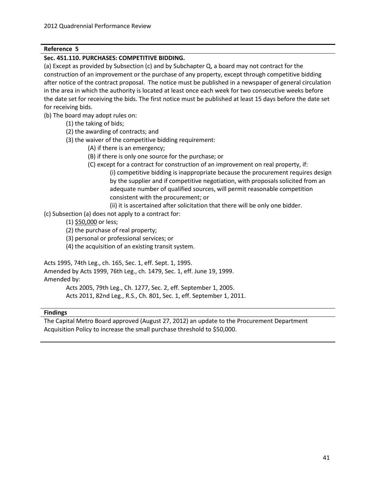#### **Sec. 451.110. PURCHASES: COMPETITIVE BIDDING.**

(a) Except as provided by Subsection (c) and by Subchapter Q, a board may not contract for the construction of an improvement or the purchase of any property, except through competitive bidding after notice of the contract proposal. The notice must be published in a newspaper of general circulation in the area in which the authority is located at least once each week for two consecutive weeks before the date set for receiving the bids. The first notice must be published at least 15 days before the date set for receiving bids.

(b) The board may adopt rules on:

- (1) the taking of bids;
- (2) the awarding of contracts; and
- (3) the waiver of the competitive bidding requirement:
	- (A) if there is an emergency;
	- (B) if there is only one source for the purchase; or
	- (C) except for a contract for construction of an improvement on real property, if:
		- (i) competitive bidding is inappropriate because the procurement requires design by the supplier and if competitive negotiation, with proposals solicited from an adequate number of qualified sources, will permit reasonable competition consistent with the procurement; or
		- (ii) it is ascertained after solicitation that there will be only one bidder.
- (c) Subsection (a) does not apply to a contract for:
	- (1) \$50,000 or less;
	- (2) the purchase of real property;
	- (3) personal or professional services; or
	- (4) the acquisition of an existing transit system.

Acts 1995, 74th Leg., ch. 165, Sec. 1, eff. Sept. 1, 1995.

Amended by Acts 1999, 76th Leg., ch. 1479, Sec. 1, eff. June 19, 1999. Amended by:

Acts 2005, 79th Leg., Ch. 1277, Sec. 2, eff. September 1, 2005.

Acts 2011, 82nd Leg., R.S., Ch. 801, Sec. 1, eff. September 1, 2011.

#### **Findings**

The Capital Metro Board approved (August 27, 2012) an update to the Procurement Department Acquisition Policy to increase the small purchase threshold to \$50,000.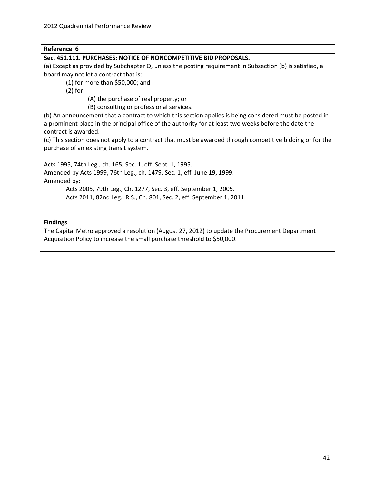#### **Sec. 451.111. PURCHASES: NOTICE OF NONCOMPETITIVE BID PROPOSALS.**

(a) Except as provided by Subchapter Q, unless the posting requirement in Subsection (b) is satisfied, a board may not let a contract that is:

(1) for more than \$50,000; and

(2) for:

(A) the purchase of real property; or

(B) consulting or professional services.

(b) An announcement that a contract to which this section applies is being considered must be posted in a prominent place in the principal office of the authority for at least two weeks before the date the contract is awarded.

(c) This section does not apply to a contract that must be awarded through competitive bidding or for the purchase of an existing transit system.

Acts 1995, 74th Leg., ch. 165, Sec. 1, eff. Sept. 1, 1995.

Amended by Acts 1999, 76th Leg., ch. 1479, Sec. 1, eff. June 19, 1999. Amended by:

> Acts 2005, 79th Leg., Ch. 1277, Sec. 3, eff. September 1, 2005. Acts 2011, 82nd Leg., R.S., Ch. 801, Sec. 2, eff. September 1, 2011.

#### **Findings**

The Capital Metro approved a resolution (August 27, 2012) to update the Procurement Department Acquisition Policy to increase the small purchase threshold to \$50,000.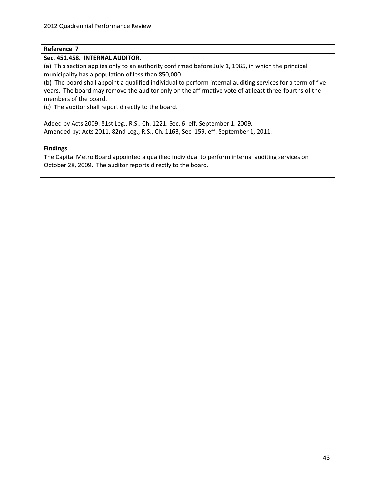#### **Sec. 451.458. INTERNAL AUDITOR.**

(a) This section applies only to an authority confirmed before July 1, 1985, in which the principal municipality has a population of less than 850,000.

(b) The board shall appoint a qualified individual to perform internal auditing services for a term of five years. The board may remove the auditor only on the affirmative vote of at least three-fourths of the members of the board.

(c) The auditor shall report directly to the board.

Added by Acts 2009, 81st Leg., R.S., Ch. 1221, Sec. 6, eff. September 1, 2009. Amended by: Acts 2011, 82nd Leg., R.S., Ch. 1163, Sec. 159, eff. September 1, 2011.

#### **Findings**

The Capital Metro Board appointed a qualified individual to perform internal auditing services on October 28, 2009. The auditor reports directly to the board.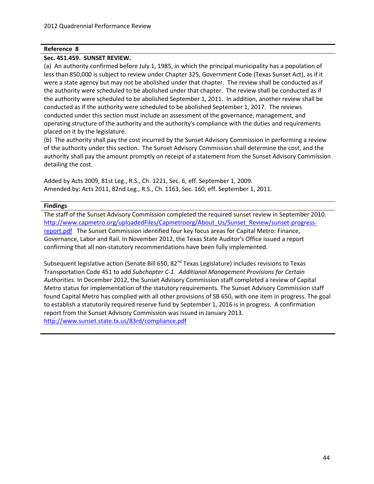#### **Sec. 451.459. SUNSET REVIEW.**

(a) An authority confirmed before July 1, 1985, in which the principal municipality has a population of less than 850,000 is subject to review under Chapter 325, Government Code (Texas Sunset Act), as if it were a state agency but may not be abolished under that chapter. The review shall be conducted as if the authority were scheduled to be abolished under that chapter. The review shall be conducted as if the authority were scheduled to be abolished September 1, 2011. In addition, another review shall be conducted as if the authority were scheduled to be abolished September 1, 2017. The reviews conducted under this section must include an assessment of the governance, management, and operating structure of the authority and the authority's compliance with the duties and requirements placed on it by the legislature.

(b) The authority shall pay the cost incurred by the Sunset Advisory Commission in performing a review of the authority under this section. The Sunset Advisory Commission shall determine the cost, and the authority shall pay the amount promptly on receipt of a statement from the Sunset Advisory Commission detailing the cost.

Added by Acts 2009, 81st Leg., R.S., Ch. 1221, Sec. 6, eff. September 1, 2009. Amended by: Acts 2011, 82nd Leg., R.S., Ch. 1163, Sec. 160, eff. September 1, 2011.

#### **Findings**

The staff of the Sunset Advisory Commission completed the required sunset review in September 2010. [http://www.capmetro.org/uploadedFiles/Capmetroorg/About\\_Us/Sunset\\_Review/sunset-progress](http://www.capmetro.org/uploadedFiles/Capmetroorg/About_Us/Sunset_Review/sunset-progress-report.pdf)[report.pdf](http://www.capmetro.org/uploadedFiles/Capmetroorg/About_Us/Sunset_Review/sunset-progress-report.pdf) The Sunset Commission identified four key focus areas for Capital Metro: Finance, Governance, Labor and Rail. In November 2012, the Texas State Auditor's Office issued a report confirming that all non-statutory recommendations have been fully implemented.

Subsequent legislative action (Senate Bill 650, 82<sup>nd</sup> Texas Legislature) includes revisions to Texas Transportation Code 451 to add *Subchapter C-1. Additional Management Provisions for Certain Authorities*. In December 2012, the Sunset Advisory Commission staff completed a review of Capital Metro status for implementation of the statutory requirements. The Sunset Advisory Commission staff found Capital Metro has complied with all other provisions of SB 650, with one item in progress. The goal to establish a statutorily required reserve fund by September 1, 2016 is in progress. A confirmation report from the Sunset Advisory Commission was issued in January 2013. <http://www.sunset.state.tx.us/83rd/compliance.pdf>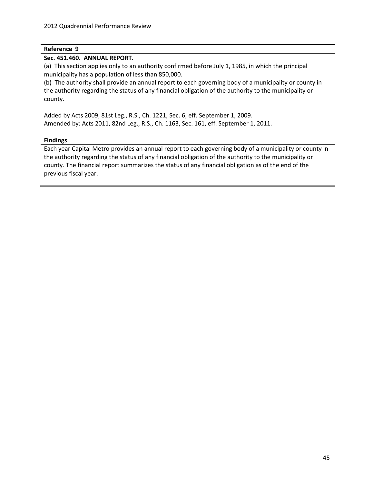#### **Sec. 451.460. ANNUAL REPORT.**

(a) This section applies only to an authority confirmed before July 1, 1985, in which the principal municipality has a population of less than 850,000.

(b) The authority shall provide an annual report to each governing body of a municipality or county in the authority regarding the status of any financial obligation of the authority to the municipality or county.

Added by Acts 2009, 81st Leg., R.S., Ch. 1221, Sec. 6, eff. September 1, 2009. Amended by: Acts 2011, 82nd Leg., R.S., Ch. 1163, Sec. 161, eff. September 1, 2011.

#### **Findings**

Each year Capital Metro provides an annual report to each governing body of a municipality or county in the authority regarding the status of any financial obligation of the authority to the municipality or county. The financial report summarizes the status of any financial obligation as of the end of the previous fiscal year.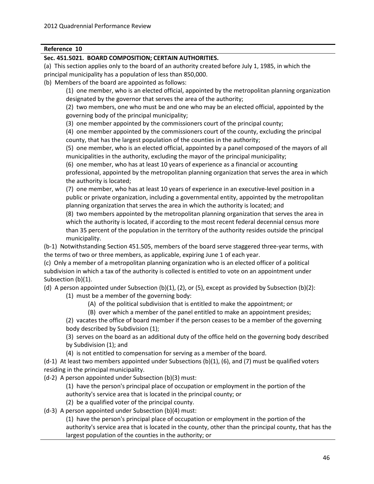#### **Sec. 451.5021. BOARD COMPOSITION; CERTAIN AUTHORITIES.**

(a) This section applies only to the board of an authority created before July 1, 1985, in which the principal municipality has a population of less than 850,000.

(b) Members of the board are appointed as follows:

(1) one member, who is an elected official, appointed by the metropolitan planning organization designated by the governor that serves the area of the authority;

(2) two members, one who must be and one who may be an elected official, appointed by the governing body of the principal municipality;

(3) one member appointed by the commissioners court of the principal county;

(4) one member appointed by the commissioners court of the county, excluding the principal county, that has the largest population of the counties in the authority;

(5) one member, who is an elected official, appointed by a panel composed of the mayors of all municipalities in the authority, excluding the mayor of the principal municipality;

(6) one member, who has at least 10 years of experience as a financial or accounting professional, appointed by the metropolitan planning organization that serves the area in which the authority is located;

(7) one member, who has at least 10 years of experience in an executive-level position in a public or private organization, including a governmental entity, appointed by the metropolitan planning organization that serves the area in which the authority is located; and

(8) two members appointed by the metropolitan planning organization that serves the area in which the authority is located, if according to the most recent federal decennial census more than 35 percent of the population in the territory of the authority resides outside the principal municipality.

(b-1) Notwithstanding Section 451.505, members of the board serve staggered three-year terms, with the terms of two or three members, as applicable, expiring June 1 of each year.

(c) Only a member of a metropolitan planning organization who is an elected officer of a political subdivision in which a tax of the authority is collected is entitled to vote on an appointment under Subsection (b)(1).

(d) A person appointed under Subsection (b)(1), (2), or (5), except as provided by Subsection (b)(2):

(1) must be a member of the governing body:

- (A) of the political subdivision that is entitled to make the appointment; or
- (B) over which a member of the panel entitled to make an appointment presides;

(2) vacates the office of board member if the person ceases to be a member of the governing body described by Subdivision (1);

(3) serves on the board as an additional duty of the office held on the governing body described by Subdivision (1); and

(4) is not entitled to compensation for serving as a member of the board.

(d-1) At least two members appointed under Subsections (b)(1), (6), and (7) must be qualified voters residing in the principal municipality.

(d-2) A person appointed under Subsection (b)(3) must:

(1) have the person's principal place of occupation or employment in the portion of the

authority's service area that is located in the principal county; or

(2) be a qualified voter of the principal county.

(d-3) A person appointed under Subsection (b)(4) must:

(1) have the person's principal place of occupation or employment in the portion of the authority's service area that is located in the county, other than the principal county, that has the largest population of the counties in the authority; or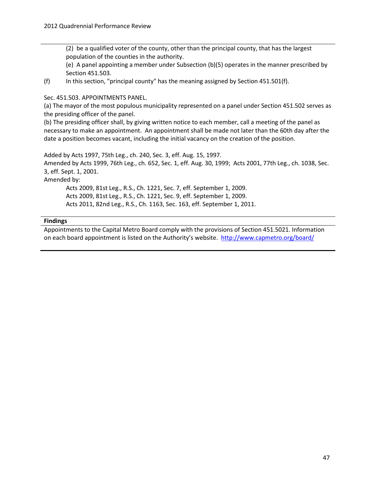(2) be a qualified voter of the county, other than the principal county, that has the largest population of the counties in the authority.

(e) A panel appointing a member under Subsection (b)(5) operates in the manner prescribed by Section 451.503.

(f) In this section, "principal county" has the meaning assigned by Section 451.501(f).

Sec. 451.503. APPOINTMENTS PANEL.

(a) The mayor of the most populous municipality represented on a panel under Section 451.502 serves as the presiding officer of the panel.

(b) The presiding officer shall, by giving written notice to each member, call a meeting of the panel as necessary to make an appointment. An appointment shall be made not later than the 60th day after the date a position becomes vacant, including the initial vacancy on the creation of the position.

Added by Acts 1997, 75th Leg., ch. 240, Sec. 3, eff. Aug. 15, 1997. Amended by Acts 1999, 76th Leg., ch. 652, Sec. 1, eff. Aug. 30, 1999; Acts 2001, 77th Leg., ch. 1038, Sec. 3, eff. Sept. 1, 2001. Amended by: Acts 2009, 81st Leg., R.S., Ch. 1221, Sec. 7, eff. September 1, 2009. Acts 2009, 81st Leg., R.S., Ch. 1221, Sec. 9, eff. September 1, 2009. Acts 2011, 82nd Leg., R.S., Ch. 1163, Sec. 163, eff. September 1, 2011.

#### **Findings**

Appointments to the Capital Metro Board comply with the provisions of Section 451.5021. Information on each board appointment is listed on the Authority's website. <http://www.capmetro.org/board/>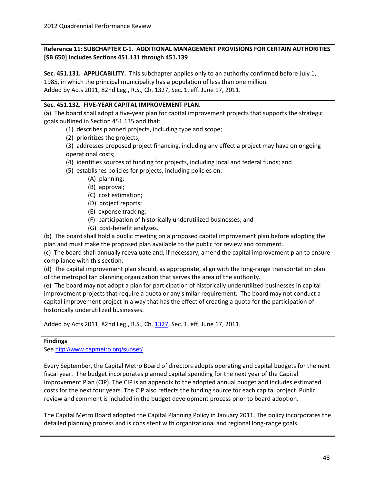#### **Reference 11: SUBCHAPTER C-1. ADDITIONAL MANAGEMENT PROVISIONS FOR CERTAIN AUTHORITIES [SB 650] Includes Sections 451.131 through 451.139**

**Sec. 451.131. APPLICABILITY.** This subchapter applies only to an authority confirmed before July 1, 1985, in which the principal municipality has a population of less than one million. Added by Acts 2011, 82nd Leg., R.S., Ch. [1327,](http://www.legis.state.tx.us/tlodocs/82R/billtext/html/SB00650F.HTM) Sec. 1, eff. June 17, 2011.

#### **Sec. 451.132. FIVE-YEAR CAPITAL IMPROVEMENT PLAN.**

(a) The board shall adopt a five-year plan for capital improvement projects that supports the strategic goals outlined in Section 451.135 and that:

- (1) describes planned projects, including type and scope;
- (2) prioritizes the projects;

(3) addresses proposed project financing, including any effect a project may have on ongoing operational costs;

- (4) identifies sources of funding for projects, including local and federal funds; and
- (5) establishes policies for projects, including policies on:
	- (A) planning;
	- (B) approval;
	- (C) cost estimation;
	- (D) project reports;
	- (E) expense tracking;
	- (F) participation of historically underutilized businesses; and
	- (G) cost-benefit analyses.

(b) The board shall hold a public meeting on a proposed capital improvement plan before adopting the plan and must make the proposed plan available to the public for review and comment.

(c) The board shall annually reevaluate and, if necessary, amend the capital improvement plan to ensure compliance with this section.

(d) The capital improvement plan should, as appropriate, align with the long-range transportation plan of the metropolitan planning organization that serves the area of the authority.

(e) The board may not adopt a plan for participation of historically underutilized businesses in capital improvement projects that require a quota or any similar requirement. The board may not conduct a capital improvement project in a way that has the effect of creating a quota for the participation of historically underutilized businesses.

Added by Acts 2011, 82nd Leg., R.S., Ch. [1327,](http://www.legis.state.tx.us/tlodocs/82R/billtext/html/SB00650F.HTM) Sec. 1, eff. June 17, 2011.

#### **Findings**

See <http://www.capmetro.org/sunset/>

Every September, the Capital Metro Board of directors adopts operating and capital budgets for the next fiscal year. The budget incorporates planned capital spending for the next year of the Capital Improvement Plan (CIP). The CIP is an appendix to the adopted annual budget and includes estimated costs for the next four years. The CIP also reflects the funding source for each capital project. Public review and comment is included in the budget development process prior to board adoption.

The Capital Metro Board adopted the Capital Planning Policy in January 2011. The policy incorporates the detailed planning process and is consistent with organizational and regional long-range goals.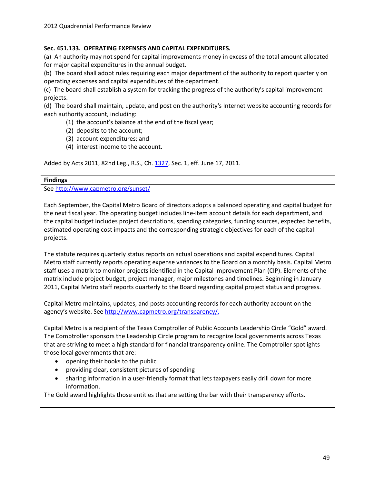#### **Sec. 451.133. OPERATING EXPENSES AND CAPITAL EXPENDITURES.**

(a) An authority may not spend for capital improvements money in excess of the total amount allocated for major capital expenditures in the annual budget.

(b) The board shall adopt rules requiring each major department of the authority to report quarterly on operating expenses and capital expenditures of the department.

(c) The board shall establish a system for tracking the progress of the authority's capital improvement projects.

(d) The board shall maintain, update, and post on the authority's Internet website accounting records for each authority account, including:

(1) the account's balance at the end of the fiscal year;

- (2) deposits to the account;
- (3) account expenditures; and
- (4) interest income to the account.

Added by Acts 2011, 82nd Leg., R.S., Ch. [1327,](http://www.legis.state.tx.us/tlodocs/82R/billtext/html/SB00650F.HTM) Sec. 1, eff. June 17, 2011.

#### **Findings**

See <http://www.capmetro.org/sunset/>

Each September, the Capital Metro Board of directors adopts a balanced operating and capital budget for the next fiscal year. The operating budget includes line-item account details for each department, and the capital budget includes project descriptions, spending categories, funding sources, expected benefits, estimated operating cost impacts and the corresponding strategic objectives for each of the capital projects.

The statute requires quarterly status reports on actual operations and capital expenditures. Capital Metro staff currently reports operating expense variances to the Board on a monthly basis. Capital Metro staff uses a matrix to monitor projects identified in the Capital Improvement Plan (CIP). Elements of the matrix include project budget, project manager, major milestones and timelines. Beginning in January 2011, Capital Metro staff reports quarterly to the Board regarding capital project status and progress.

Capital Metro maintains, updates, and posts accounting records for each authority account on the agency's website. Se[e http://www.capmetro.org/transparency/.](http://www.capmetro.org/transparency/)

Capital Metro is a recipient of the Texas Comptroller of Public Accounts Leadership Circle "Gold" award. The Comptroller sponsors the Leadership Circle program to recognize local governments across Texas that are striving to meet a high standard for financial transparency online. The Comptroller spotlights those local governments that are:

- opening their books to the public
- providing clear, consistent pictures of spending
- sharing information in a user-friendly format that lets taxpayers easily drill down for more information.

The Gold award highlights those entities that are setting the bar with their transparency efforts.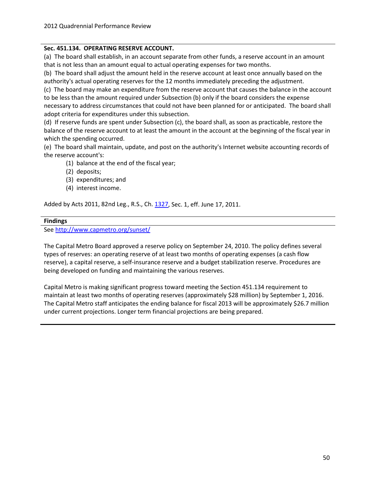#### **Sec. 451.134. OPERATING RESERVE ACCOUNT.**

(a) The board shall establish, in an account separate from other funds, a reserve account in an amount that is not less than an amount equal to actual operating expenses for two months.

(b) The board shall adjust the amount held in the reserve account at least once annually based on the authority's actual operating reserves for the 12 months immediately preceding the adjustment.

(c) The board may make an expenditure from the reserve account that causes the balance in the account to be less than the amount required under Subsection (b) only if the board considers the expense necessary to address circumstances that could not have been planned for or anticipated. The board shall adopt criteria for expenditures under this subsection.

(d) If reserve funds are spent under Subsection (c), the board shall, as soon as practicable, restore the balance of the reserve account to at least the amount in the account at the beginning of the fiscal year in which the spending occurred.

(e) The board shall maintain, update, and post on the authority's Internet website accounting records of the reserve account's:

(1) balance at the end of the fiscal year;

- (2) deposits;
- (3) expenditures; and
- (4) interest income.

Added by Acts 2011, 82nd Leg., R.S., Ch. [1327,](http://www.legis.state.tx.us/tlodocs/82R/billtext/html/SB00650F.HTM) Sec. 1, eff. June 17, 2011.

#### **Findings**

See <http://www.capmetro.org/sunset/>

The Capital Metro Board approved a reserve policy on September 24, 2010. The policy defines several types of reserves: an operating reserve of at least two months of operating expenses (a cash flow reserve), a capital reserve, a self-insurance reserve and a budget stabilization reserve. Procedures are being developed on funding and maintaining the various reserves.

Capital Metro is making significant progress toward meeting the Section 451.134 requirement to maintain at least two months of operating reserves (approximately \$28 million) by September 1, 2016. The Capital Metro staff anticipates the ending balance for fiscal 2013 will be approximately \$26.7 million under current projections. Longer term financial projections are being prepared.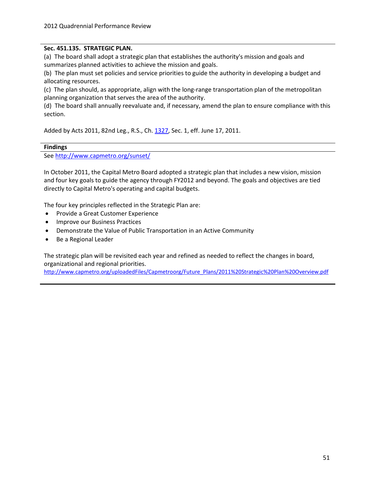#### **Sec. 451.135. STRATEGIC PLAN.**

(a) The board shall adopt a strategic plan that establishes the authority's mission and goals and summarizes planned activities to achieve the mission and goals.

(b) The plan must set policies and service priorities to guide the authority in developing a budget and allocating resources.

(c) The plan should, as appropriate, align with the long-range transportation plan of the metropolitan planning organization that serves the area of the authority.

(d) The board shall annually reevaluate and, if necessary, amend the plan to ensure compliance with this section.

Added by Acts 2011, 82nd Leg., R.S., Ch. [1327,](http://www.legis.state.tx.us/tlodocs/82R/billtext/html/SB00650F.HTM) Sec. 1, eff. June 17, 2011.

#### **Findings**

See <http://www.capmetro.org/sunset/>

In October 2011, the Capital Metro Board adopted a strategic plan that includes a new vision, mission and four key goals to guide the agency through FY2012 and beyond. The goals and objectives are tied directly to Capital Metro's operating and capital budgets.

The four key principles reflected in the Strategic Plan are:

- Provide a Great Customer Experience
- Improve our Business Practices
- Demonstrate the Value of Public Transportation in an Active Community
- Be a Regional Leader

The strategic plan will be revisited each year and refined as needed to reflect the changes in board, organizational and regional priorities.

[http://www.capmetro.org/uploadedFiles/Capmetroorg/Future\\_Plans/2011%20Strategic%20Plan%20Overview.pdf](http://www.capmetro.org/uploadedFiles/Capmetroorg/Future_Plans/2011%20Strategic%20Plan%20Overview.pdf)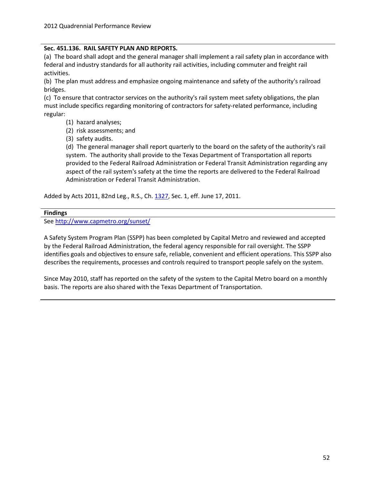#### **Sec. 451.136. RAIL SAFETY PLAN AND REPORTS.**

(a) The board shall adopt and the general manager shall implement a rail safety plan in accordance with federal and industry standards for all authority rail activities, including commuter and freight rail activities.

(b) The plan must address and emphasize ongoing maintenance and safety of the authority's railroad bridges.

(c) To ensure that contractor services on the authority's rail system meet safety obligations, the plan must include specifics regarding monitoring of contractors for safety-related performance, including regular:

- (1) hazard analyses;
- (2) risk assessments; and
- (3) safety audits.

(d) The general manager shall report quarterly to the board on the safety of the authority's rail system. The authority shall provide to the Texas Department of Transportation all reports provided to the Federal Railroad Administration or Federal Transit Administration regarding any aspect of the rail system's safety at the time the reports are delivered to the Federal Railroad Administration or Federal Transit Administration.

Added by Acts 2011, 82nd Leg., R.S., Ch. [1327,](http://www.legis.state.tx.us/tlodocs/82R/billtext/html/SB00650F.HTM) Sec. 1, eff. June 17, 2011.

#### **Findings**

See <http://www.capmetro.org/sunset/>

A Safety System Program Plan (SSPP) has been completed by Capital Metro and reviewed and accepted by the Federal Railroad Administration, the federal agency responsible for rail oversight. The SSPP identifies goals and objectives to ensure safe, reliable, convenient and efficient operations. This SSPP also describes the requirements, processes and controls required to transport people safely on the system.

Since May 2010, staff has reported on the safety of the system to the Capital Metro board on a monthly basis. The reports are also shared with the Texas Department of Transportation.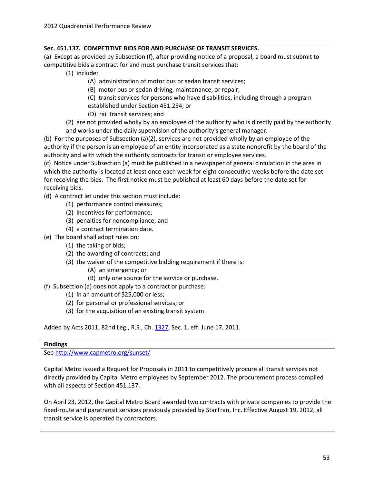#### **Sec. 451.137. COMPETITIVE BIDS FOR AND PURCHASE OF TRANSIT SERVICES.**

(a) Except as provided by Subsection (f), after providing notice of a proposal, a board must submit to competitive bids a contract for and must purchase transit services that:

- (1) include:
	- (A) administration of motor bus or sedan transit services;
	- (B) motor bus or sedan driving, maintenance, or repair;
	- (C) transit services for persons who have disabilities, including through a program established under Section 451.254; or
	- (D) rail transit services; and
- (2) are not provided wholly by an employee of the authority who is directly paid by the authority and works under the daily supervision of the authority's general manager.

(b) For the purposes of Subsection (a)(2), services are not provided wholly by an employee of the authority if the person is an employee of an entity incorporated as a state nonprofit by the board of the authority and with which the authority contracts for transit or employee services.

(c) Notice under Subsection (a) must be published in a newspaper of general circulation in the area in which the authority is located at least once each week for eight consecutive weeks before the date set for receiving the bids. The first notice must be published at least 60 days before the date set for receiving bids.

(d) A contract let under this section must include:

- (1) performance control measures;
- (2) incentives for performance;
- (3) penalties for noncompliance; and
- (4) a contract termination date.
- (e) The board shall adopt rules on:
	- (1) the taking of bids;
	- (2) the awarding of contracts; and
	- (3) the waiver of the competitive bidding requirement if there is:
		- (A) an emergency; or
		- (B) only one source for the service or purchase.
- (f) Subsection (a) does not apply to a contract or purchase:
	- (1) in an amount of \$25,000 or less;
	- (2) for personal or professional services; or
	- (3) for the acquisition of an existing transit system.

Added by Acts 2011, 82nd Leg., R.S., Ch. [1327,](http://www.legis.state.tx.us/tlodocs/82R/billtext/html/SB00650F.HTM) Sec. 1, eff. June 17, 2011.

#### **Findings**

See <http://www.capmetro.org/sunset/>

Capital Metro issued a Request for Proposals in 2011 to competitively procure all transit services not directly provided by Capital Metro employees by September 2012. The procurement process complied with all aspects of Section 451.137.

On April 23, 2012, the Capital Metro Board awarded two contracts with private companies to provide the fixed-route and paratransit services previously provided by StarTran, Inc. Effective August 19, 2012, all transit service is operated by contractors.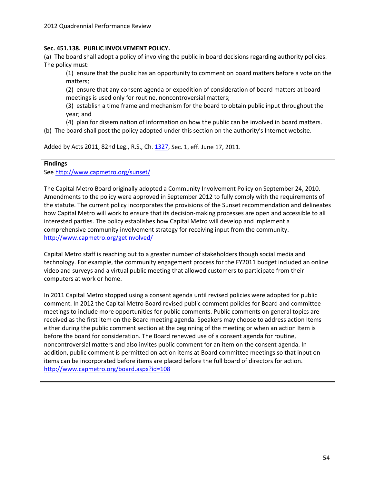#### **Sec. 451.138. PUBLIC INVOLVEMENT POLICY.**

(a) The board shall adopt a policy of involving the public in board decisions regarding authority policies. The policy must:

(1) ensure that the public has an opportunity to comment on board matters before a vote on the matters;

(2) ensure that any consent agenda or expedition of consideration of board matters at board meetings is used only for routine, noncontroversial matters;

(3) establish a time frame and mechanism for the board to obtain public input throughout the year; and

(4) plan for dissemination of information on how the public can be involved in board matters.

(b) The board shall post the policy adopted under this section on the authority's Internet website.

Added by Acts 2011, 82nd Leg., R.S., Ch. [1327,](http://www.legis.state.tx.us/tlodocs/82R/billtext/html/SB00650F.HTM) Sec. 1, eff. June 17, 2011.

#### **Findings**

See <http://www.capmetro.org/sunset/>

The Capital Metro Board originally adopted a Community Involvement Policy on September 24, 2010. Amendments to the policy were approved in September 2012 to fully comply with the requirements of the statute. The current policy incorporates the provisions of the Sunset recommendation and delineates how Capital Metro will work to ensure that its decision-making processes are open and accessible to all interested parties. The policy establishes how Capital Metro will develop and implement a comprehensive community involvement strategy for receiving input from the community. <http://www.capmetro.org/getinvolved/>

Capital Metro staff is reaching out to a greater number of stakeholders though social media and technology. For example, the community engagement process for the FY2011 budget included an online video and surveys and a virtual public meeting that allowed customers to participate from their computers at work or home.

In 2011 Capital Metro stopped using a consent agenda until revised policies were adopted for public comment. In 2012 the Capital Metro Board revised public comment policies for Board and committee meetings to include more opportunities for public comments. Public comments on general topics are received as the first item on the Board meeting agenda. Speakers may choose to address action Items either during the public comment section at the beginning of the meeting or when an action Item is before the board for consideration. The Board renewed use of a consent agenda for routine, noncontroversial matters and also invites public comment for an item on the consent agenda. In addition, public comment is permitted on action items at Board committee meetings so that input on items can be incorporated before items are placed before the full board of directors for action. <http://www.capmetro.org/board.aspx?id=108>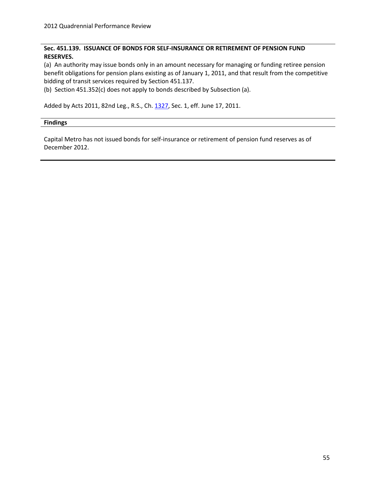#### **Sec. 451.139. ISSUANCE OF BONDS FOR SELF-INSURANCE OR RETIREMENT OF PENSION FUND RESERVES.**

(a) An authority may issue bonds only in an amount necessary for managing or funding retiree pension benefit obligations for pension plans existing as of January 1, 2011, and that result from the competitive bidding of transit services required by Section 451.137.

(b) Section 451.352(c) does not apply to bonds described by Subsection (a).

Added by Acts 2011, 82nd Leg., R.S., Ch. [1327,](http://www.legis.state.tx.us/tlodocs/82R/billtext/html/SB00650F.HTM) Sec. 1, eff. June 17, 2011.

#### **Findings**

Capital Metro has not issued bonds for self-insurance or retirement of pension fund reserves as of December 2012.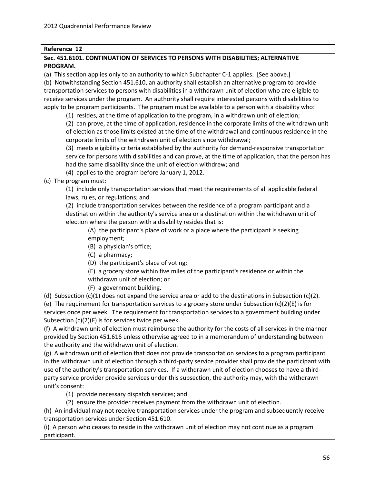#### **Sec. 451.6101. CONTINUATION OF SERVICES TO PERSONS WITH DISABILITIES; ALTERNATIVE PROGRAM.**

(a) This section applies only to an authority to which Subchapter C-1 applies. [See above.]

(b) Notwithstanding Section 451.610, an authority shall establish an alternative program to provide transportation services to persons with disabilities in a withdrawn unit of election who are eligible to receive services under the program. An authority shall require interested persons with disabilities to apply to be program participants. The program must be available to a person with a disability who:

(1) resides, at the time of application to the program, in a withdrawn unit of election;

(2) can prove, at the time of application, residence in the corporate limits of the withdrawn unit of election as those limits existed at the time of the withdrawal and continuous residence in the corporate limits of the withdrawn unit of election since withdrawal;

(3) meets eligibility criteria established by the authority for demand-responsive transportation service for persons with disabilities and can prove, at the time of application, that the person has had the same disability since the unit of election withdrew; and

(4) applies to the program before January 1, 2012.

(c) The program must:

(1) include only transportation services that meet the requirements of all applicable federal laws, rules, or regulations; and

(2) include transportation services between the residence of a program participant and a destination within the authority's service area or a destination within the withdrawn unit of election where the person with a disability resides that is:

(A) the participant's place of work or a place where the participant is seeking employment;

- (B) a physician's office;
- (C) a pharmacy;
- (D) the participant's place of voting;

(E) a grocery store within five miles of the participant's residence or within the withdrawn unit of election; or

(F) a government building.

(d) Subsection  $(c)(1)$  does not expand the service area or add to the destinations in Subsection  $(c)(2)$ . (e) The requirement for transportation services to a grocery store under Subsection (c)(2)(E) is for services once per week. The requirement for transportation services to a government building under Subsection (c)(2)(F) is for services twice per week.

(f) A withdrawn unit of election must reimburse the authority for the costs of all services in the manner provided by Section 451.616 unless otherwise agreed to in a memorandum of understanding between the authority and the withdrawn unit of election.

(g) A withdrawn unit of election that does not provide transportation services to a program participant in the withdrawn unit of election through a third-party service provider shall provide the participant with use of the authority's transportation services. If a withdrawn unit of election chooses to have a thirdparty service provider provide services under this subsection, the authority may, with the withdrawn unit's consent:

(1) provide necessary dispatch services; and

(2) ensure the provider receives payment from the withdrawn unit of election.

(h) An individual may not receive transportation services under the program and subsequently receive transportation services under Section 451.610.

(i) A person who ceases to reside in the withdrawn unit of election may not continue as a program participant.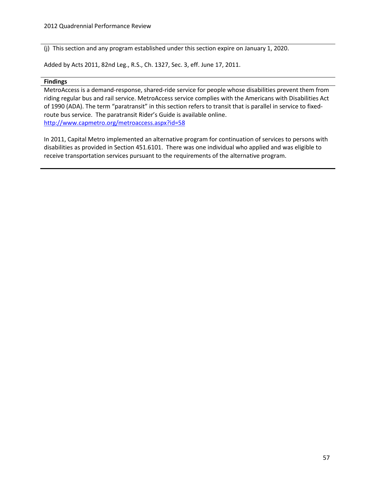(j) This section and any program established under this section expire on January 1, 2020.

Added by Acts 2011, 82nd Leg., R.S., Ch. 1327, Sec. 3, eff. June 17, 2011.

#### **Findings**

MetroAccess is a demand-response, shared-ride service for people whose disabilities prevent them from riding regular bus and rail service. MetroAccess service complies with the Americans with Disabilities Act of 1990 (ADA). The term "paratransit" in this section refers to transit that is parallel in service to fixedroute bus service. The paratransit Rider's Guide is available online. <http://www.capmetro.org/metroaccess.aspx?id=58>

In 2011, Capital Metro implemented an alternative program for continuation of services to persons with disabilities as provided in Section 451.6101. There was one individual who applied and was eligible to receive transportation services pursuant to the requirements of the alternative program.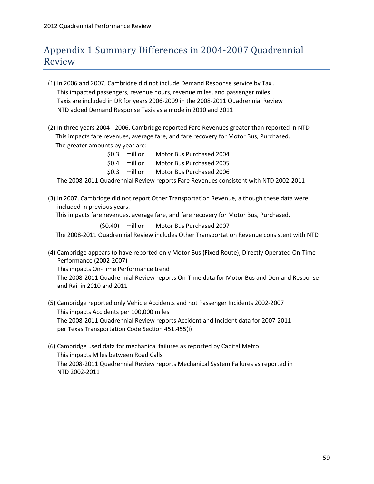# <span id="page-62-0"></span>Appendix 1 Summary Differences in 2004-2007 Quadrennial Review

- (1) In 2006 and 2007, Cambridge did not include Demand Response service by Taxi. This impacted passengers, revenue hours, revenue miles, and passenger miles. Taxis are included in DR for years 2006-2009 in the 2008-2011 Quadrennial Review NTD added Demand Response Taxis as a mode in 2010 and 2011
- (2) In three years 2004 2006, Cambridge reported Fare Revenues greater than reported in NTD This impacts fare revenues, average fare, and fare recovery for Motor Bus, Purchased. The greater amounts by year are:

| \$0.3<br>million<br>Motor Bus Purchased 2004 |
|----------------------------------------------|
|----------------------------------------------|

\$0.4 million Motor Bus Purchased 2005

\$0.3 million Motor Bus Purchased 2006

The 2008-2011 Quadrennial Review reports Fare Revenues consistent with NTD 2002-2011

(3) In 2007, Cambridge did not report Other Transportation Revenue, although these data were included in previous years.

This impacts fare revenues, average fare, and fare recovery for Motor Bus, Purchased.

(\$0.40) million Motor Bus Purchased 2007

The 2008-2011 Quadrennial Review includes Other Transportation Revenue consistent with NTD

(4) Cambridge appears to have reported only Motor Bus (Fixed Route), Directly Operated On-Time Performance (2002-2007)

This impacts On-Time Performance trend

 The 2008-2011 Quadrennial Review reports On-Time data for Motor Bus and Demand Response and Rail in 2010 and 2011

- (5) Cambridge reported only Vehicle Accidents and not Passenger Incidents 2002-2007 This impacts Accidents per 100,000 miles The 2008-2011 Quadrennial Review reports Accident and Incident data for 2007-2011 per Texas Transportation Code Section 451.455(i)
- (6) Cambridge used data for mechanical failures as reported by Capital Metro This impacts Miles between Road Calls The 2008-2011 Quadrennial Review reports Mechanical System Failures as reported in NTD 2002-2011